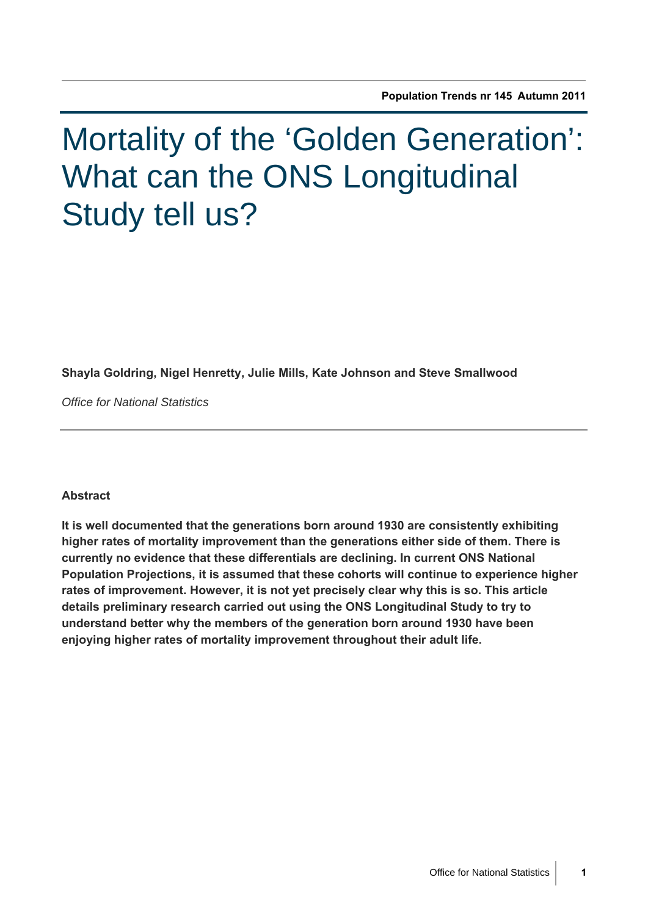# Mortality of the 'Golden Generation': What can the ONS Longitudinal Study tell us?

**Shayla Goldring, Nigel Henretty, Julie Mills, Kate Johnson and Steve Smallwood** 

*Office for National Statistics* 

### **Abstract**

**It is well documented that the generations born around 1930 are consistently exhibiting higher rates of mortality improvement than the generations either side of them. There is currently no evidence that these differentials are declining. In current ONS National Population Projections, it is assumed that these cohorts will continue to experience higher rates of improvement. However, it is not yet precisely clear why this is so. This article details preliminary research carried out using the ONS Longitudinal Study to try to understand better why the members of the generation born around 1930 have been enjoying higher rates of mortality improvement throughout their adult life.**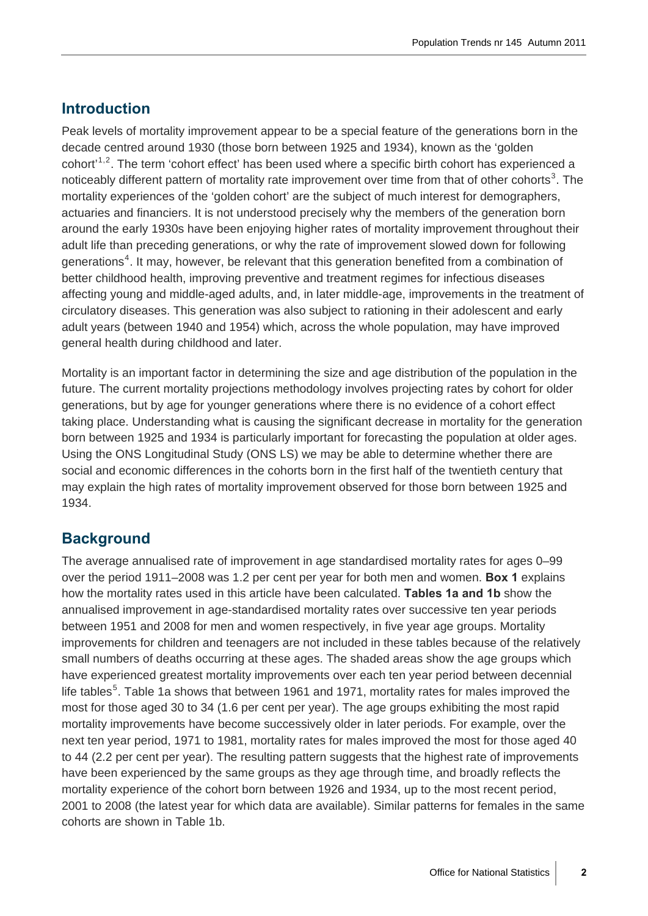### **Introduction**

Peak levels of mortality improvement appear to be a special feature of the generations born in the decade centred around 1930 (those born between 1925 and 1934), known as the 'golden cohort'<sup>[1](#page-3-0),[2](#page-3-1)</sup>. The term 'cohort effect' has been used where a specific birth cohort has experienced a noticeably different pattern of mortality rate improvement over time from that of other cohorts<sup>[3](#page-3-1)</sup>. The mortality experiences of the 'golden cohort' are the subject of much interest for demographers, actuaries and financiers. It is not understood precisely why the members of the generation born around the early 1930s have been enjoying higher rates of mortality improvement throughout their adult life than preceding generations, or why the rate of improvement slowed down for following generations<sup>[4](#page-3-1)</sup>. It may, however, be relevant that this generation benefited from a combination of better childhood health, improving preventive and treatment regimes for infectious diseases affecting young and middle-aged adults, and, in later middle-age, improvements in the treatment of circulatory diseases. This generation was also subject to rationing in their adolescent and early adult years (between 1940 and 1954) which, across the whole population, may have improved general health during childhood and later.

Mortality is an important factor in determining the size and age distribution of the population in the future. The current mortality projections methodology involves projecting rates by cohort for older generations, but by age for younger generations where there is no evidence of a cohort effect taking place. Understanding what is causing the significant decrease in mortality for the generation born between 1925 and 1934 is particularly important for forecasting the population at older ages. Using the ONS Longitudinal Study (ONS LS) we may be able to determine whether there are social and economic differences in the cohorts born in the first half of the twentieth century that may explain the high rates of mortality improvement observed for those born between 1925 and 1934.

### **Background**

The average annualised rate of improvement in age standardised mortality rates for ages 0–99 over the period 1911–2008 was 1.2 per cent per year for both men and women. **Box 1** explains how the mortality rates used in this article have been calculated. **Tables 1a and 1b** show the annualised improvement in age-standardised mortality rates over successive ten year periods between 1951 and 2008 for men and women respectively, in five year age groups. Mortality improvements for children and teenagers are not included in these tables because of the relatively small numbers of deaths occurring at these ages. The shaded areas show the age groups which have experienced greatest mortality improvements over each ten year period between decennial life tables<sup>[5](#page-3-1)</sup>. Table 1a shows that between 1961 and 1971, mortality rates for males improved the most for those aged 30 to 34 (1.6 per cent per year). The age groups exhibiting the most rapid mortality improvements have become successively older in later periods. For example, over the next ten year period, 1971 to 1981, mortality rates for males improved the most for those aged 40 to 44 (2.2 per cent per year). The resulting pattern suggests that the highest rate of improvements have been experienced by the same groups as they age through time, and broadly reflects the mortality experience of the cohort born between 1926 and 1934, up to the most recent period, 2001 to 2008 (the latest year for which data are available). Similar patterns for females in the same cohorts are shown in Table 1b.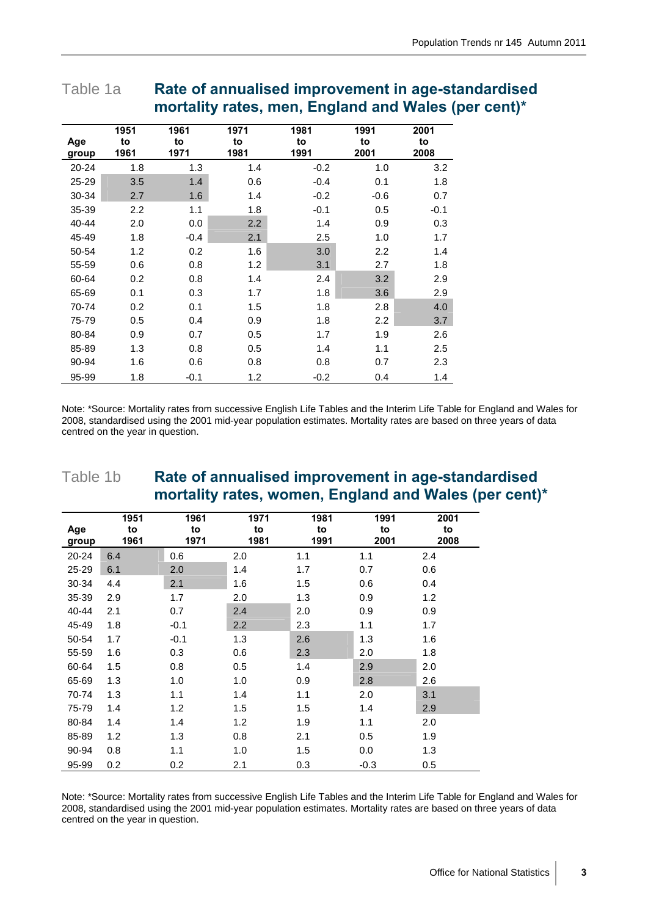# Table 1a **Rate of annualised improvement in age-standardised mortality rates, men, England and Wales (per cent)\***

| Age<br>group | 1951<br>to<br>1961 | 1961<br>to<br>1971 | 1971<br>to<br>1981 | 1981<br>to<br>1991 | 1991<br>to<br>2001 | 2001<br>to<br>2008 |
|--------------|--------------------|--------------------|--------------------|--------------------|--------------------|--------------------|
| 20-24        | 1.8                | 1.3                | 1.4                | $-0.2$             | 1.0                | 3.2                |
| 25-29        | 3.5                | 1.4                | 0.6                | $-0.4$             | 0.1                | 1.8                |
| 30-34        | 2.7                | 1.6                | 1.4                | $-0.2$             | $-0.6$             | 0.7                |
| 35-39        | 2.2                | 1.1                | 1.8                | $-0.1$             | 0.5                | $-0.1$             |
| 40-44        | 2.0                | 0.0                | 2.2                | 1.4                | 0.9                | 0.3                |
| 45-49        | 1.8                | $-0.4$             | 2.1                | 2.5                | 1.0                | 1.7                |
| 50-54        | 1.2                | 0.2                | 1.6                | 3.0                | 2.2                | 1.4                |
| 55-59        | 0.6                | 0.8                | 1.2                | 3.1                | 2.7                | 1.8                |
| 60-64        | 0.2                | 0.8                | 1.4                | 2.4                | 3.2                | 2.9                |
| 65-69        | 0.1                | 0.3                | 1.7                | 1.8                | 3.6                | 2.9                |
| 70-74        | 0.2                | 0.1                | 1.5                | 1.8                | 2.8                | 4.0                |
| 75-79        | 0.5                | 0.4                | 0.9                | 1.8                | 2.2                | 3.7                |
| 80-84        | 0.9                | 0.7                | 0.5                | 1.7                | 1.9                | 2.6                |
| 85-89        | 1.3                | 0.8                | 0.5                | 1.4                | 1.1                | 2.5                |
| 90-94        | 1.6                | 0.6                | 0.8                | 0.8                | 0.7                | 2.3                |
| 95-99        | 1.8                | $-0.1$             | 1.2                | $-0.2$             | 0.4                | 1.4                |

Note: \*Source: Mortality rates from successive English Life Tables and the Interim Life Table for England and Wales for 2008, standardised using the 2001 mid-year population estimates. Mortality rates are based on three years of data centred on the year in question.

# Table 1b **Rate of annualised improvement in age-standardised mortality rates, women, England and Wales (per cent)\***

|              | 1951       | 1961       | 1971       | 1981       | 1991       | 2001       |
|--------------|------------|------------|------------|------------|------------|------------|
| Age<br>group | to<br>1961 | to<br>1971 | to<br>1981 | to<br>1991 | to<br>2001 | to<br>2008 |
| 20-24        | 6.4        | 0.6        | 2.0        | 1.1        | 1.1        | 2.4        |
| 25-29        | 6.1        | 2.0        | 1.4        | 1.7        | 0.7        | 0.6        |
| 30-34        | 4.4        | 2.1        | 1.6        | 1.5        | 0.6        | 0.4        |
| 35-39        | 2.9        | 1.7        | 2.0        | 1.3        | 0.9        | 1.2        |
| 40-44        | 2.1        | 0.7        | 2.4        | 2.0        | 0.9        | 0.9        |
| 45-49        | 1.8        | $-0.1$     | 2.2        | 2.3        | 1.1        | 1.7        |
| 50-54        | 1.7        | $-0.1$     | 1.3        | 2.6        | 1.3        | 1.6        |
| 55-59        | 1.6        | 0.3        | 0.6        | 2.3        | 2.0        | 1.8        |
| 60-64        | 1.5        | 0.8        | 0.5        | 1.4        | 2.9        | 2.0        |
| 65-69        | 1.3        | 1.0        | 1.0        | 0.9        | 2.8        | 2.6        |
| 70-74        | 1.3        | 1.1        | 1.4        | 1.1        | 2.0        | 3.1        |
| 75-79        | 1.4        | 1.2        | 1.5        | 1.5        | 1.4        | 2.9        |
| 80-84        | 1.4        | 1.4        | 1.2        | 1.9        | 1.1        | 2.0        |
| 85-89        | 1.2        | 1.3        | 0.8        | 2.1        | 0.5        | 1.9        |
| 90-94        | 0.8        | 1.1        | 1.0        | 1.5        | 0.0        | 1.3        |
| 95-99        | 0.2        | 0.2        | 2.1        | 0.3        | $-0.3$     | 0.5        |

Note: \*Source: Mortality rates from successive English Life Tables and the Interim Life Table for England and Wales for 2008, standardised using the 2001 mid-year population estimates. Mortality rates are based on three years of data centred on the year in question.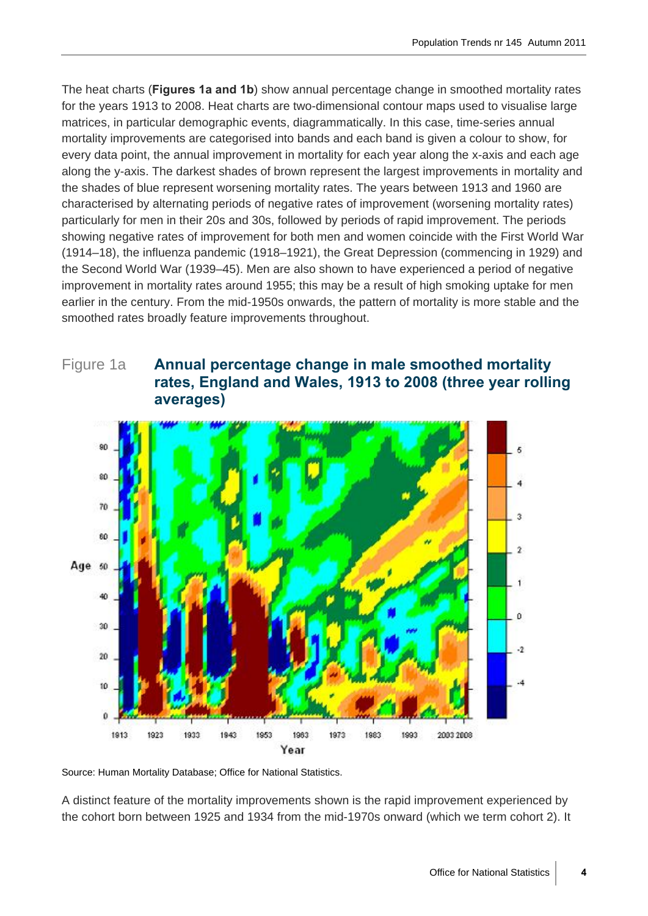<span id="page-3-0"></span>The heat charts (**Figures 1a and 1b**) show annual percentage change in smoothed mortality rates for the years 1913 to 2008. Heat charts are two-dimensional contour maps used to visualise large matrices, in particular demographic events, diagrammatically. In this case, time-series annual mortality improvements are categorised into bands and each band is given a colour to show, for every data point, the annual improvement in mortality for each year along the x-axis and each age along the y-axis. The darkest shades of brown represent the largest improvements in mortality and the shades of blue represent worsening mortality rates. The years between 1913 and 1960 are characterised by alternating periods of negative rates of improvement (worsening mortality rates) particularly for men in their 20s and 30s, followed by periods of rapid improvement. The periods showing negative rates of improvement for both men and women coincide with the First World War (1914–18), the influenza pandemic (1918–1921), the Great Depression (commencing in 1929) and the Second World War (1939–45). Men are also shown to have experienced a period of negative improvement in mortality rates around 1955; this may be a result of high smoking uptake for men earlier in the century. From the mid-1950s onwards, the pattern of mortality is more stable and the smoothed rates broadly feature improvements throughout.

# Figure 1a **Annual percentage change in male smoothed mortality rates, England and Wales, 1913 to 2008 (three year rolling averages)**



Source: Human Mortality Database; Office for National Statistics.

<span id="page-3-1"></span>A distinct feature of the mortality improvements shown is the rapid improvement experienced by the cohort born between 1925 and 1934 from the mid-1970s onward (which we term cohort 2). It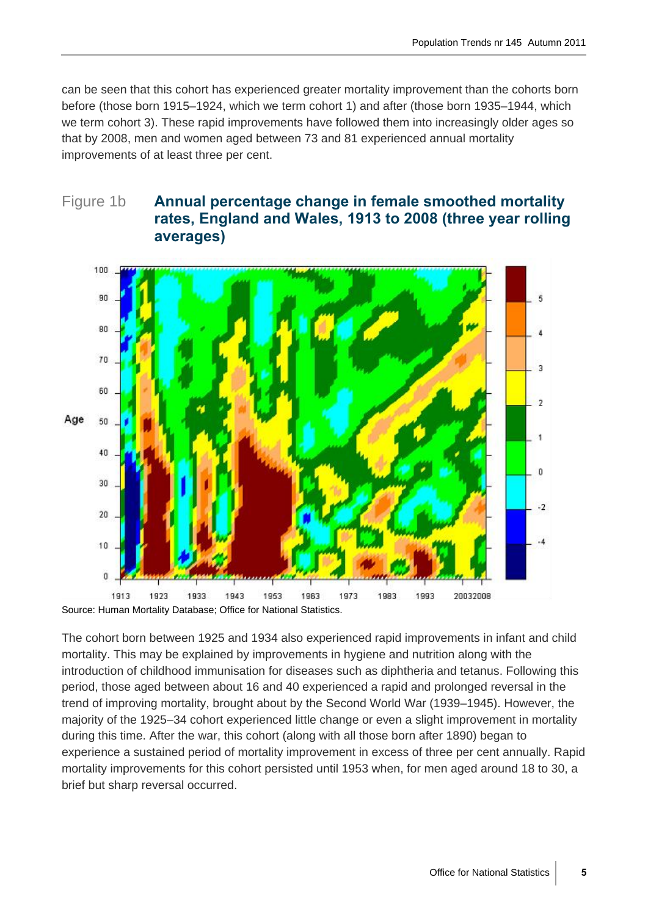can be seen that this cohort has experienced greater mortality improvement than the cohorts born before (those born 1915–1924, which we term cohort 1) and after (those born 1935–1944, which we term cohort 3). These rapid improvements have followed them into increasingly older ages so that by 2008, men and women aged between 73 and 81 experienced annual mortality improvements of at least three per cent.

### Figure 1b **Annual percentage change in female smoothed mortality rates, England and Wales, 1913 to 2008 (three year rolling averages)**



<span id="page-4-0"></span>The cohort born between 1925 and 1934 also experienced rapid improvements in infant and child mortality. This may be explained by improvements in hygiene and nutrition along with the introduction of childhood immunisation for diseases such as diphtheria and tetanus. Following this period, those aged between about 16 and 40 experienced a rapid and prolonged reversal in the trend of improving mortality, brought about by the Second World War (1939–1945). However, the majority of the 1925–34 cohort experienced little change or even a slight improvement in mortality during this time. After the war, this cohort (along with all those born after 1890) began to experience a sustained period of mortality improvement in excess of three per cent annually. Rapid mortality improvements for this cohort persisted until 1953 when, for men aged around 18 to 30, a brief but sharp reversal occurred.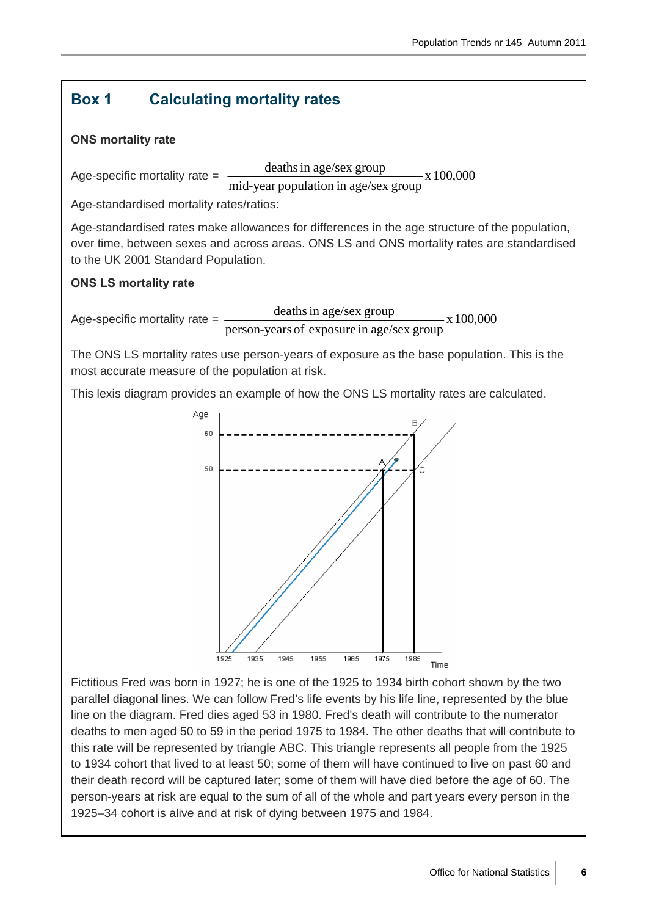# **Box 1 Calculating mortality rates**

### **ONS mortality rate**

Age-specific mortality rate  $=$   $\frac{400}{\text{mid-year population in age/sec group}} \times 100,000$ deaths in age/sex group

Age-standardised mortality rates/ratios:

Age-standardised rates make allowances for differences in the age structure of the population, over time, between sexes and across areas. ONS LS and ONS mortality rates are standardised to the UK 2001 Standard Population.

### **ONS LS mortality rate**

Age-specific mortality rate =  $\frac{100,000}{2}$  x 100,000 person-years of exposure in age/sex group deaths in age/sex group *-*

The ONS LS mortality rates use person-years of exposure as the base population. This is the most accurate measure of the population at risk.

This lexis diagram provides an example of how the ONS LS mortality rates are calculated.



Fictitious Fred was born in 1927; he is one of the 1925 to 1934 birth cohort shown by the two parallel diagonal lines. We can follow Fred's life events by his life line, represented by the blue line on the diagram. Fred dies aged 53 in 1980. Fred's death will contribute to the numerator deaths to men aged 50 to 59 in the period 1975 to 1984. The other deaths that will contribute to this rate will be represented by triangle ABC. This triangle represents all people from the 1925 to 1934 cohort that lived to at least 50; some of them will have continued to live on past 60 and their death record will be captured later; some of them will have died before the age of 60. The person-years at risk are equal to the sum of all of the whole and part years every person in the 1925–34 cohort is alive and at risk of dying between 1975 and 1984.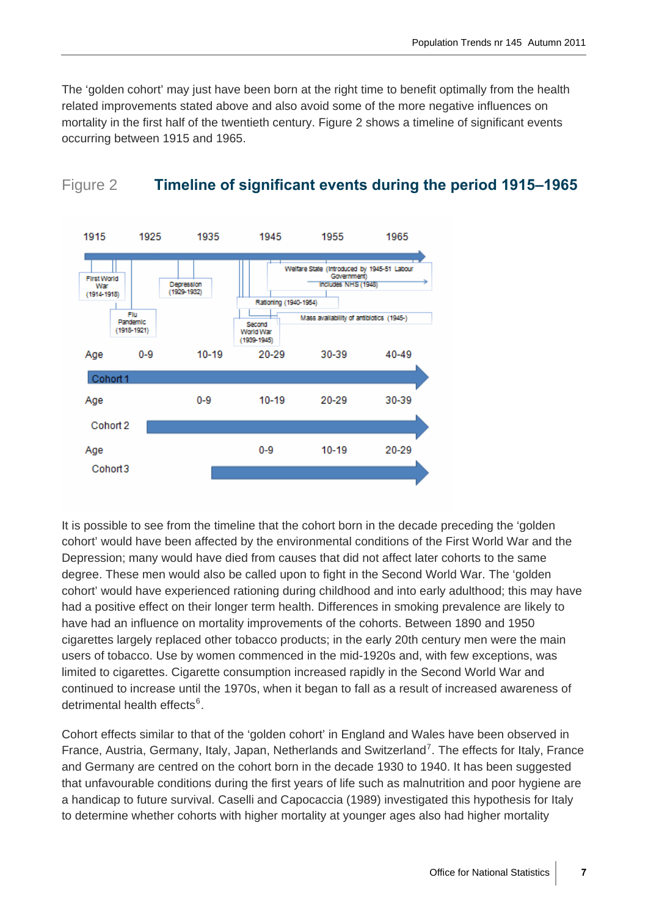The 'golden cohort' may just have been born at the right time to benefit optimally from the health related improvements stated above and also avoid some of the more negative influences on mortality in the first half of the twentieth century. Figure 2 shows a timeline of significant events occurring between 1915 and 1965.



# Figure 2 **Timeline of significant events during the period 1915–1965**

It is possible to see from the timeline that the cohort born in the decade preceding the 'golden cohort' would have been affected by the environmental conditions of the First World War and the Depression; many would have died from causes that did not affect later cohorts to the same degree. These men would also be called upon to fight in the Second World War. The 'golden cohort' would have experienced rationing during childhood and into early adulthood; this may have had a positive effect on their longer term health. Differences in smoking prevalence are likely to have had an influence on mortality improvements of the cohorts. Between 1890 and 1950 cigarettes largely replaced other tobacco products; in the early 20th century men were the main users of tobacco. Use by women commenced in the mid-1920s and, with few exceptions, was limited to cigarettes. Cigarette consumption increased rapidly in the Second World War and continued to increase until the 1970s, when it began to fall as a result of increased awareness of detrimental health effects<sup>[6](#page-3-1)</sup>.

Cohort effects similar to that of the 'golden cohort' in England and Wales have been observed in France, Austria, Germany, Italy, Japan, Netherlands and Switzerland<sup>[7](#page-3-1)</sup>. The effects for Italy, France and Germany are centred on the cohort born in the decade 1930 to 1940. It has been suggested that unfavourable conditions during the first years of life such as malnutrition and poor hygiene are a handicap to future survival. Caselli and Capocaccia (1989) investigated this hypothesis for Italy to determine whether cohorts with higher mortality at younger ages also had higher mortality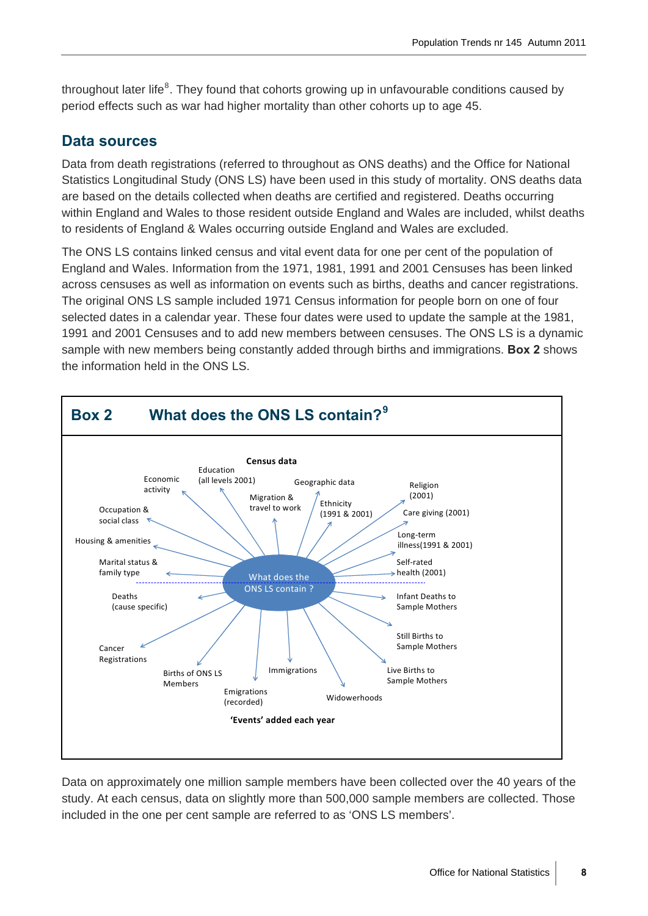throughout later life<sup>[8](#page-3-1)</sup>. They found that cohorts growing up in unfavourable conditions caused by period effects such as war had higher mortality than other cohorts up to age 45.

### **Data sources**

Data from death registrations (referred to throughout as ONS deaths) and the Office for National Statistics Longitudinal Study (ONS LS) have been used in this study of mortality. ONS deaths data are based on the details collected when deaths are certified and registered. Deaths occurring within England and Wales to those resident outside England and Wales are included, whilst deaths to residents of England & Wales occurring outside England and Wales are excluded.

The ONS LS contains linked census and vital event data for one per cent of the population of England and Wales. Information from the 1971, 1981, 1991 and 2001 Censuses has been linked across censuses as well as information on events such as births, deaths and cancer registrations. The original ONS LS sample included 1971 Census information for people born on one of four selected dates in a calendar year. These four dates were used to update the sample at the 1981, 1991 and 2001 Censuses and to add new members between censuses. The ONS LS is a dynamic sample with new members being constantly added through births and immigrations. **Box 2** shows the information held in the ONS LS.



Data on approximately one million sample members have been collected over the 40 years of the study. At each census, data on slightly more than 500,000 sample members are collected. Those included in the one per cent sample are referred to as 'ONS LS members'.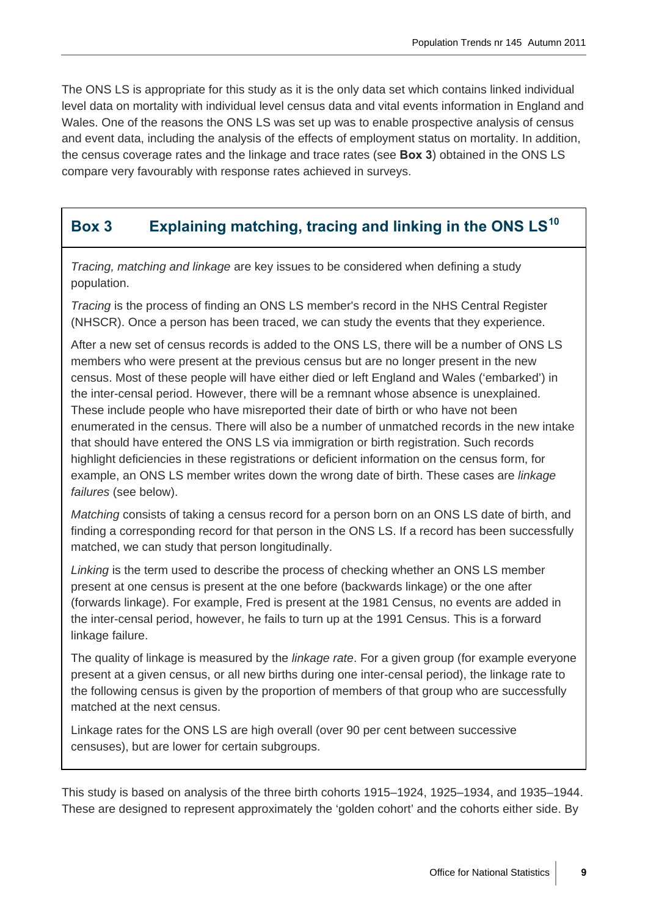The ONS LS is appropriate for this study as it is the only data set which contains linked individual level data on mortality with individual level census data and vital events information in England and Wales. One of the reasons the ONS LS was set up was to enable prospective analysis of census and event data, including the analysis of the effects of employment status on mortality. In addition, the census coverage rates and the linkage and trace rates (see **Box 3**) obtained in the ONS LS compare very favourably with response rates achieved in surveys.

# **Box 3 Explaining matching, tracing and linking in the ONS LS[10](#page-3-1)**

*Tracing, matching and linkage* are key issues to be considered when defining a study population.

*Tracing* is the process of finding an ONS LS member's record in the NHS Central Register (NHSCR). Once a person has been traced, we can study the events that they experience.

After a new set of census records is added to the ONS LS, there will be a number of ONS LS members who were present at the previous census but are no longer present in the new census. Most of these people will have either died or left England and Wales ('embarked') in the inter-censal period. However, there will be a remnant whose absence is unexplained. These include people who have misreported their date of birth or who have not been enumerated in the census. There will also be a number of unmatched records in the new intake that should have entered the ONS LS via immigration or birth registration. Such records highlight deficiencies in these registrations or deficient information on the census form, for example, an ONS LS member writes down the wrong date of birth. These cases are *linkage failures* (see below).

*Matching* consists of taking a census record for a person born on an ONS LS date of birth, and finding a corresponding record for that person in the ONS LS. If a record has been successfully matched, we can study that person longitudinally.

*Linking* is the term used to describe the process of checking whether an ONS LS member present at one census is present at the one before (backwards linkage) or the one after (forwards linkage). For example, Fred is present at the 1981 Census, no events are added in the inter-censal period, however, he fails to turn up at the 1991 Census. This is a forward linkage failure.

The quality of linkage is measured by the *linkage rate*. For a given group (for example everyone present at a given census, or all new births during one inter-censal period), the linkage rate to the following census is given by the proportion of members of that group who are successfully matched at the next census.

Linkage rates for the ONS LS are high overall (over 90 per cent between successive censuses), but are lower for certain subgroups.

This study is based on analysis of the three birth cohorts 1915–1924, 1925–1934, and 1935–1944. These are designed to represent approximately the 'golden cohort' and the cohorts either side. By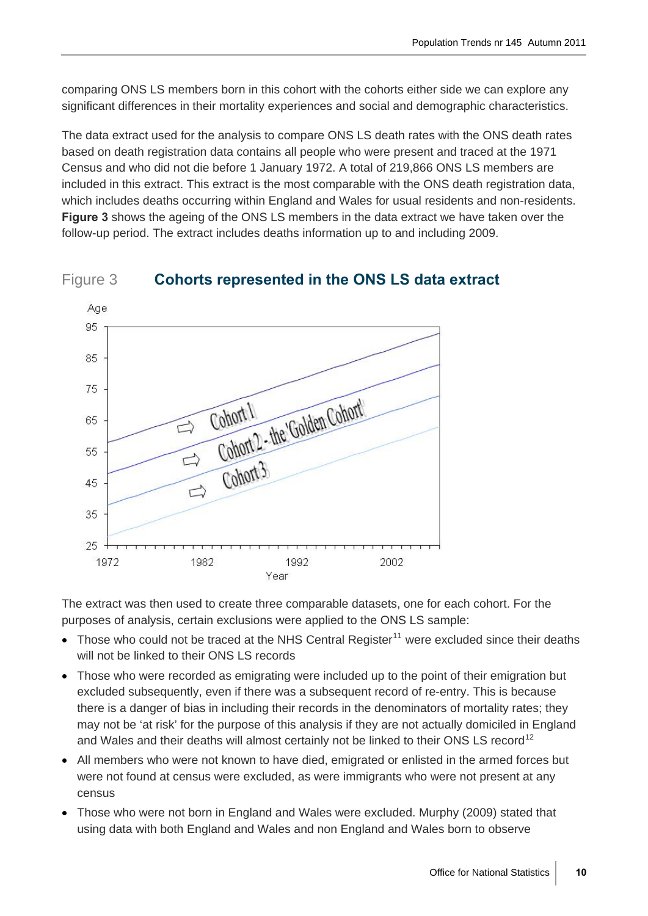comparing ONS LS members born in this cohort with the cohorts either side we can explore any significant differences in their mortality experiences and social and demographic characteristics.

The data extract used for the analysis to compare ONS LS death rates with the ONS death rates based on death registration data contains all people who were present and traced at the 1971 Census and who did not die before 1 January 1972. A total of 219,866 ONS LS members are included in this extract. This extract is the most comparable with the ONS death registration data, which includes deaths occurring within England and Wales for usual residents and non-residents. **Figure 3** shows the ageing of the ONS LS members in the data extract we have taken over the follow-up period. The extract includes deaths information up to and including 2009.

### Figure 3 **Cohorts represented in the ONS LS data extract**



The extract was then used to create three comparable datasets, one for each cohort. For the purposes of analysis, certain exclusions were applied to the ONS LS sample:

- Those who could not be traced at the NHS Central Register<sup>[11](#page-3-1)</sup> were excluded since their deaths will not be linked to their ONS LS records
- Those who were recorded as emigrating were included up to the point of their emigration but excluded subsequently, even if there was a subsequent record of re-entry. This is because there is a danger of bias in including their records in the denominators of mortality rates; they may not be 'at risk' for the purpose of this analysis if they are not actually domiciled in England and Wales and their deaths will almost certainly not be linked to their ONS LS record<sup>[12](#page-3-1)</sup>
- All members who were not known to have died, emigrated or enlisted in the armed forces but were not found at census were excluded, as were immigrants who were not present at any census
- Those who were not born in England and Wales were excluded. Murphy (2009) stated that using data with both England and Wales and non England and Wales born to observe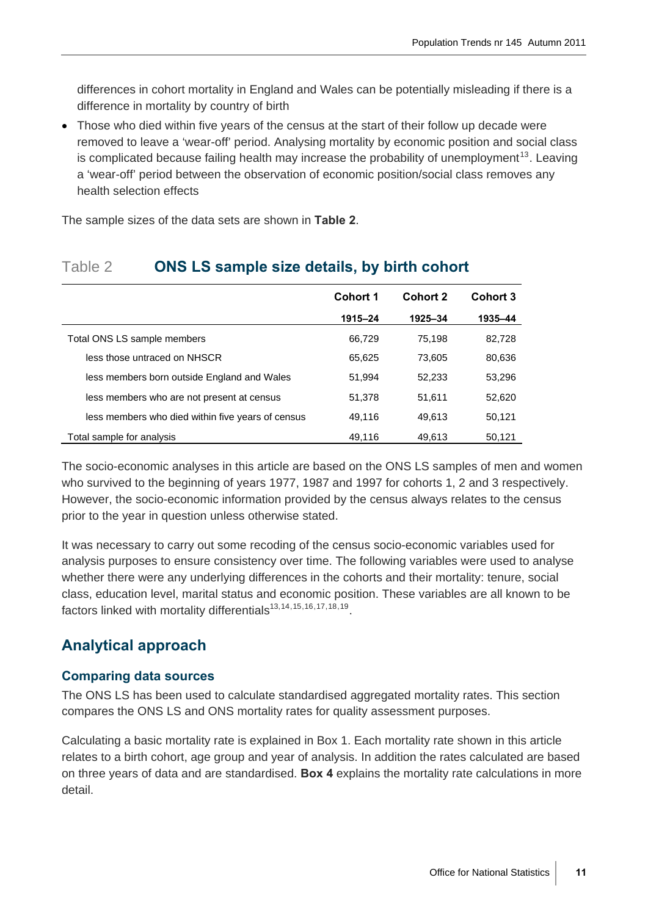differences in cohort mortality in England and Wales can be potentially misleading if there is a difference in mortality by country of birth

<span id="page-10-0"></span> Those who died within five years of the census at the start of their follow up decade were removed to leave a 'wear-off' period. Analysing mortality by economic position and social class is complicated because failing health may increase the probability of unemployment<sup>[13](#page-3-1)</sup>. Leaving a 'wear-off' period between the observation of economic position/social class removes any health selection effects

The sample sizes of the data sets are shown in **Table 2**.

### Table 2 **ONS LS sample size details, by birth cohort**

|                                                   | <b>Cohort 1</b> | Cohort 2 | Cohort 3 |
|---------------------------------------------------|-----------------|----------|----------|
|                                                   | 1915-24         | 1925-34  | 1935-44  |
| Total ONS LS sample members                       | 66,729          | 75.198   | 82.728   |
| less those untraced on NHSCR                      | 65.625          | 73,605   | 80,636   |
| less members born outside England and Wales       | 51.994          | 52,233   | 53,296   |
| less members who are not present at census        | 51.378          | 51,611   | 52,620   |
| less members who died within five years of census | 49,116          | 49,613   | 50,121   |
| Total sample for analysis                         | 49,116          | 49,613   | 50,121   |

The socio-economic analyses in this article are based on the ONS LS samples of men and women who survived to the beginning of years 1977, 1987 and 1997 for cohorts 1, 2 and 3 respectively. However, the socio-economic information provided by the census always relates to the census prior to the year in question unless otherwise stated.

It was necessary to carry out some recoding of the census socio-economic variables used for analysis purposes to ensure consistency over time. The following variables were used to analyse whether there were any underlying differences in the cohorts and their mortality: tenure, social class, education level, marital status and economic position. These variables are all known to be factors linked with mortality differentials $13,14,15,16,17,18,19$  $13,14,15,16,17,18,19$  $13,14,15,16,17,18,19$  $13,14,15,16,17,18,19$  $13,14,15,16,17,18,19$  $13,14,15,16,17,18,19$  $13,14,15,16,17,18,19$  $13,14,15,16,17,18,19$  $13,14,15,16,17,18,19$  $13,14,15,16,17,18,19$  $13,14,15,16,17,18,19$  $13,14,15,16,17,18,19$ .

### <span id="page-10-1"></span>**Analytical approach**

### **Comparing data sources**

The ONS LS has been used to calculate standardised aggregated mortality rates. This section compares the ONS LS and ONS mortality rates for quality assessment purposes.

Calculating a basic mortality rate is explained in Box 1. Each mortality rate shown in this article relates to a birth cohort, age group and year of analysis. In addition the rates calculated are based on three years of data and are standardised. **Box 4** explains the mortality rate calculations in more detail.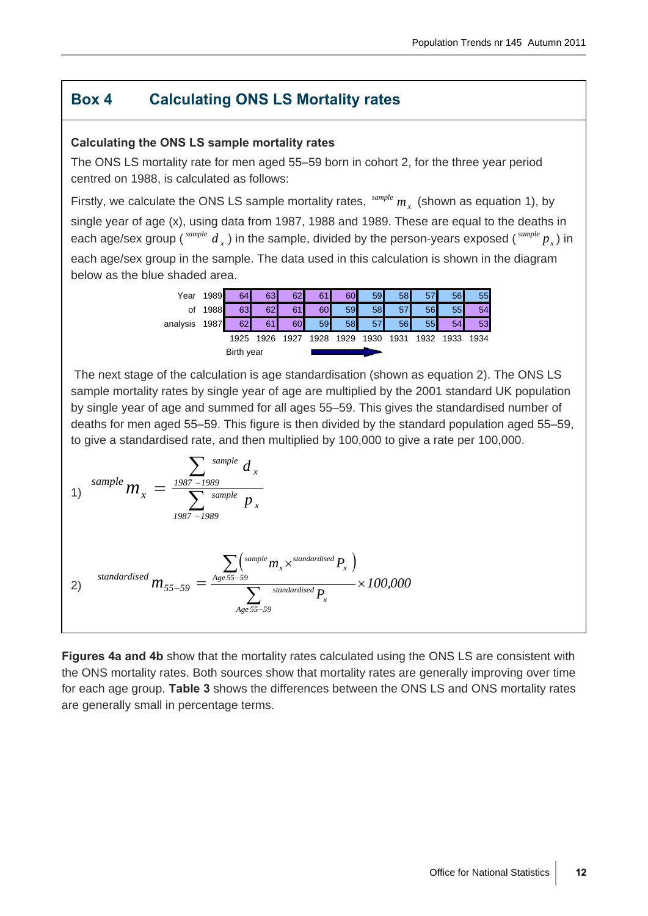# **Box 4 Calculating ONS LS Mortality rates**

### **Calculating the ONS LS sample mortality rates**

The ONS LS mortality rate for men aged 55–59 born in cohort 2, for the three year period centred on 1988, is calculated as follows:

Firstly, we calculate the ONS LS sample mortality rates,  $\frac{sample}{m_x}$  (shown as equation 1), by single year of age (x), using data from 1987, 1988 and 1989. These are equal to the deaths in each age/sex group ( $^{sample}$   $d_x$ ) in the sample, divided by the person-years exposed ( $^{sample}$   $p_x$ ) in each age/sex group in the sample. The data used in this calculation is shown in the diagram below as the blue shaded area.

| Year     | 1989    | 64         | 63   | 62   | 61   | 60   | 59   | 58   | 57   | 56   | 55   |
|----------|---------|------------|------|------|------|------|------|------|------|------|------|
|          | of 1988 | 63         | 62   | 61   | 60   | 59   | 58   | 57   | 56   | 55   | 54   |
| analysis | 1987    | 62         | 61   | 60   | 59   | 58   | 57   | 56   | 55   | 54   | 53   |
|          |         | 1925       | 1926 | 1927 | 1928 | 1929 | 1930 | 1931 | 1932 | 1933 | 1934 |
|          |         | Birth year |      |      |      |      |      |      |      |      |      |

 The next stage of the calculation is age standardisation (shown as equation 2). The ONS LS sample mortality rates by single year of age are multiplied by the 2001 standard UK population by single year of age and summed for all ages 55–59. This gives the standardised number of deaths for men aged 55–59. This figure is then divided by the standard population aged 55–59, to give a standardised rate, and then multiplied by 100,000 to give a rate per 100,000.

$$
P_{1})
$$
 sample  $m_x = \frac{\sum_{1987-1989} sample}{\sum_{198} sample} d_x$ 

$$
\overbrace{1987-1989}^{\fbox{}}
$$

2)  $$  $m_{55-59}$  $\left(\sqrt[3]{\textit{sample}}\,m_{\tiny x}\times^{\textit{standardised}} P_{\tiny x}\right)$ *000100 P*  $m_{\scriptscriptstyle\rm r} \times$ <sup>standardised</sup>  $P$ *x standardised 5955 Age 5955 Age x standardised x sample*  $\times$ 100,  $\times$  $\sum$  $\sum_{e 55}$  $\overline{a}$ 

**Figures 4a and 4b** show that the mortality rates calculated using the ONS LS are consistent with the ONS mortality rates. Both sources show that mortality rates are generally improving over time for each age group. **Table 3** shows the differences between the ONS LS and ONS mortality rates are generally small in percentage terms.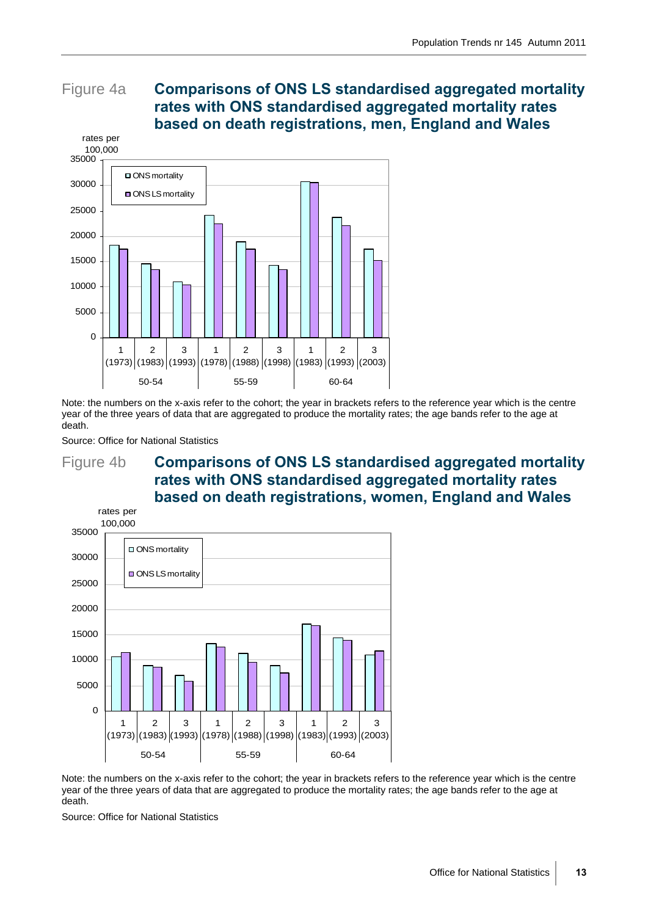### Figure 4a **Comparisons of ONS LS standardised aggregated mortality rates with ONS standardised aggregated mortality rates based on death registrations, men, England and Wales**  rates per



Note: the numbers on the x-axis refer to the cohort; the year in brackets refers to the reference year which is the centre year of the three years of data that are aggregated to produce the mortality rates; the age bands refer to the age at death.

Source: Office for National Statistics

### Figure 4b **Comparisons of ONS LS standardised aggregated mortality rates with ONS standardised aggregated mortality rates based on death registrations, women, England and Wales**  rates per



Note: the numbers on the x-axis refer to the cohort; the year in brackets refers to the reference year which is the centre year of the three years of data that are aggregated to produce the mortality rates; the age bands refer to the age at death.

Source: Office for National Statistics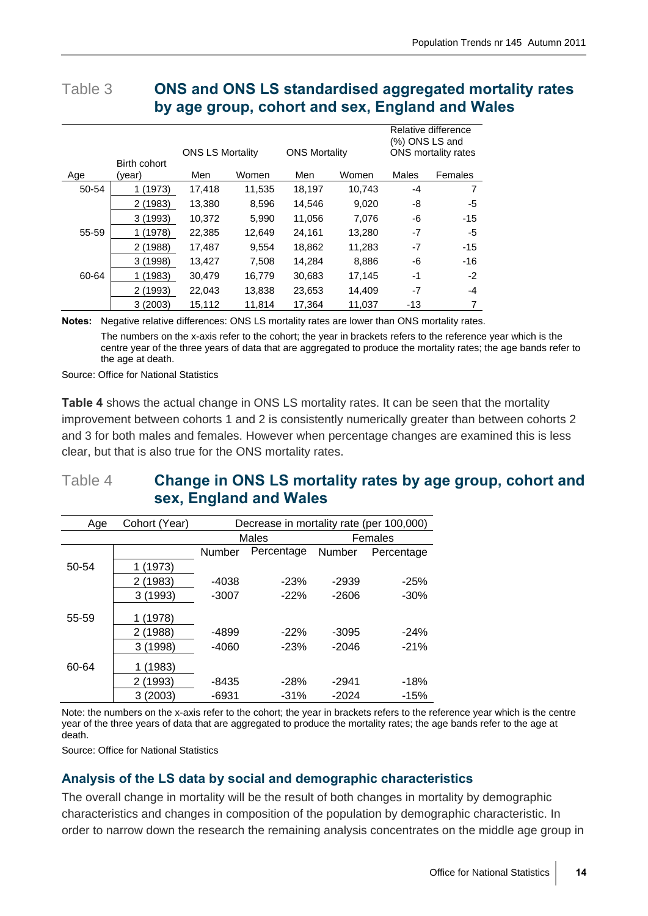# Table 3 **ONS and ONS LS standardised aggregated mortality rates by age group, cohort and sex, England and Wales**

|       |                        |                         |        |                      |        | (%) ONS LS and      | Relative difference |
|-------|------------------------|-------------------------|--------|----------------------|--------|---------------------|---------------------|
|       |                        | <b>ONS LS Mortality</b> |        | <b>ONS Mortality</b> |        | ONS mortality rates |                     |
|       | Birth cohort           |                         |        |                      |        |                     |                     |
| Age   | (vear)                 | Men                     | Women  | Men                  | Women  | Males               | Females             |
| 50-54 | (1973)<br>$\mathbf{1}$ | 17,418                  | 11,535 | 18,197               | 10,743 | -4                  | 7                   |
|       | 2(1983)                | 13,380                  | 8,596  | 14,546               | 9,020  | -8                  | -5                  |
|       | 3(1993)                | 10,372                  | 5,990  | 11,056               | 7.076  | -6                  | $-15$               |
| 55-59 | 1 (1978)               | 22,385                  | 12,649 | 24,161               | 13,280 | -7                  | -5                  |
|       | 2(1988)                | 17,487                  | 9,554  | 18,862               | 11,283 | -7                  | $-15$               |
|       | 3 (1998)               | 13,427                  | 7,508  | 14.284               | 8,886  | -6                  | $-16$               |
| 60-64 | 1 (1983)               | 30,479                  | 16,779 | 30,683               | 17,145 | -1                  | $-2$                |
|       | 2(1993)                | 22,043                  | 13,838 | 23,653               | 14,409 | -7                  | -4                  |
|       | 3(2003)                | 15,112                  | 11.814 | 17.364               | 11.037 | $-13$               | 7                   |

**Notes:** Negative relative differences: ONS LS mortality rates are lower than ONS mortality rates.

The numbers on the x-axis refer to the cohort; the year in brackets refers to the reference year which is the centre year of the three years of data that are aggregated to produce the mortality rates; the age bands refer to the age at death.

Source: Office for National Statistics

**Table 4** shows the actual change in ONS LS mortality rates. It can be seen that the mortality improvement between cohorts 1 and 2 is consistently numerically greater than between cohorts 2 and 3 for both males and females. However when percentage changes are examined this is less clear, but that is also true for the ONS mortality rates.

### Table 4 **Change in ONS LS mortality rates by age group, cohort and sex, England and Wales**

| Age   | Cohort (Year) |         | Decrease in mortality rate (per 100,000) |         |            |  |
|-------|---------------|---------|------------------------------------------|---------|------------|--|
|       |               |         | Males                                    | Females |            |  |
|       |               | Number  | Percentage                               | Number  | Percentage |  |
| 50-54 | (1973)        |         |                                          |         |            |  |
|       | 2(1983)       | $-4038$ | $-23%$                                   | $-2939$ | $-25%$     |  |
|       | 3 (1993)      | $-3007$ | $-22%$                                   | $-2606$ | $-30%$     |  |
| 55-59 | (1978)        |         |                                          |         |            |  |
|       | 2 (1988)      | -4899   | $-22%$                                   | $-3095$ | $-24%$     |  |
|       | 3(1998)       | $-4060$ | $-23%$                                   | $-2046$ | $-21%$     |  |
| 60-64 | (1983)        |         |                                          |         |            |  |
|       | 2 (1993)      | $-8435$ | $-28%$                                   | $-2941$ | $-18%$     |  |
|       | 3(2003)       | $-6931$ | $-31%$                                   | $-2024$ | $-15%$     |  |

Note: the numbers on the x-axis refer to the cohort; the year in brackets refers to the reference year which is the centre year of the three years of data that are aggregated to produce the mortality rates; the age bands refer to the age at death.

Source: Office for National Statistics

### **Analysis of the LS data by social and demographic characteristics**

The overall change in mortality will be the result of both changes in mortality by demographic characteristics and changes in composition of the population by demographic characteristic. In order to narrow down the research the remaining analysis concentrates on the middle age group in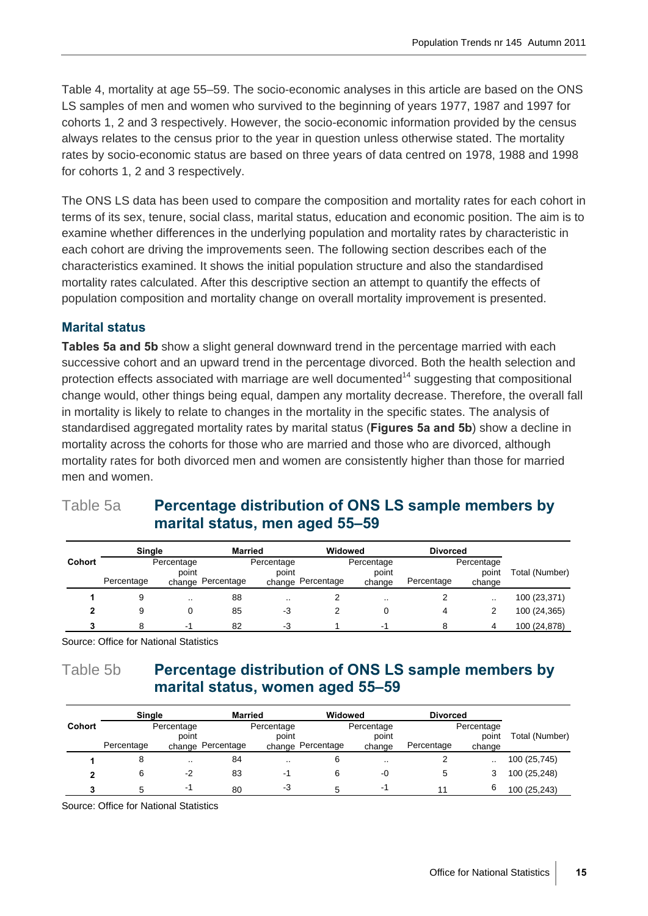Table 4, mortality at age 55–59. The socio-economic analyses in this article are based on the ONS LS samples of men and women who survived to the beginning of years 1977, 1987 and 1997 for cohorts 1, 2 and 3 respectively. However, the socio-economic information provided by the census always relates to the census prior to the year in question unless otherwise stated. The mortality rates by socio-economic status are based on three years of data centred on 1978, 1988 and 1998 for cohorts 1, 2 and 3 respectively.

The ONS LS data has been used to compare the composition and mortality rates for each cohort in terms of its sex, tenure, social class, marital status, education and economic position. The aim is to examine whether differences in the underlying population and mortality rates by characteristic in each cohort are driving the improvements seen. The following section describes each of the characteristics examined. It shows the initial population structure and also the standardised mortality rates calculated. After this descriptive section an attempt to quantify the effects of population composition and mortality change on overall mortality improvement is presented.

### **Marital status**

**Tables 5a and 5b** show a slight general downward trend in the percentage married with each successive cohort and an upward trend in the percentage divorced. Both the health selection and protection effects associated with marriage are well documented<sup>14</sup> suggesting that compositional change would, other things being equal, dampen any mortality decrease. Therefore, the overall fall in mortality is likely to relate to changes in the mortality in the specific states. The analysis of standardised aggregated mortality rates by marital status (**Figures 5a and 5b**) show a decline in mortality across the cohorts for those who are married and those who are divorced, although mortality rates for both divorced men and women are consistently higher than those for married men and women.

### Table 5a **Percentage distribution of ONS LS sample members by marital status, men aged 55–59**

|               | <b>Single</b> |            |                   | <b>Married</b> | Widowed           |                 | <b>Divorced</b> |                 |                |
|---------------|---------------|------------|-------------------|----------------|-------------------|-----------------|-----------------|-----------------|----------------|
| <b>Cohort</b> |               | Percentage |                   | Percentage     |                   | Percentage      |                 | Percentage      |                |
|               | Percentage    | point      | change Percentage | point          | change Percentage | point<br>change | Percentage      | point<br>change | Total (Number) |
|               |               |            |                   |                |                   |                 |                 |                 |                |
|               |               | $\cdot$ .  | 88                | . .            |                   |                 |                 | $\cdot$ .       | 100 (23,371)   |
|               |               |            | 85                | -3             |                   |                 |                 |                 | 100 (24,365)   |
|               |               | -1         | 82                | -3             |                   | ۰               |                 | 4               | 100 (24,878)   |

Source: Office for National Statistics

# Table 5b **Percentage distribution of ONS LS sample members by marital status, women aged 55–59**

|               | <b>Single</b> |            |                   | <b>Married</b> | Widowed           |                 | <b>Divorced</b> |                 |                |
|---------------|---------------|------------|-------------------|----------------|-------------------|-----------------|-----------------|-----------------|----------------|
| <b>Cohort</b> |               | Percentage |                   | Percentage     |                   | Percentage      |                 | Percentage      |                |
|               | Percentage    | point      | change Percentage | point          | change Percentage | point<br>change | Percentage      | point<br>change | Total (Number) |
|               |               |            | 84                | . .            | 6                 |                 |                 |                 | 100 (25,745)   |
|               | 6             | -2         | 83                | -1             | 6                 | -0              | 5               |                 | 100 (25,248)   |
|               |               | -1         | 80                | -3             |                   | -1              |                 | 6               | 100 (25,243)   |

Source: Office for National Statistics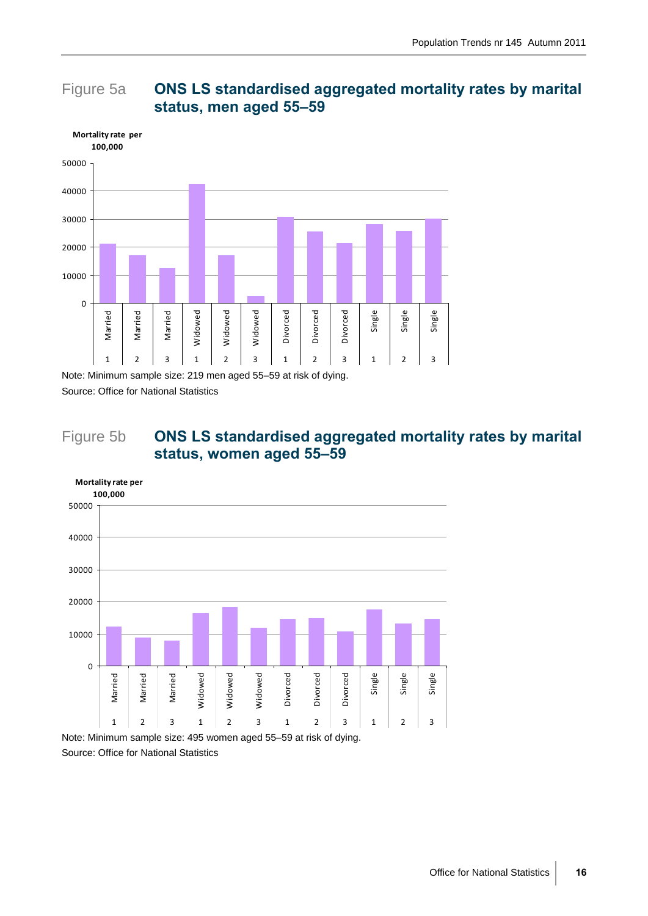

### Figure 5a **ONS LS standardised aggregated mortality rates by marital status, men aged 55–59**

Source: Office for National Statistics

# Figure 5b **ONS LS standardised aggregated mortality rates by marital status, women aged 55–59**



Note: Minimum sample size: 495 women aged 55–59 at risk of dying. Source: Office for National Statistics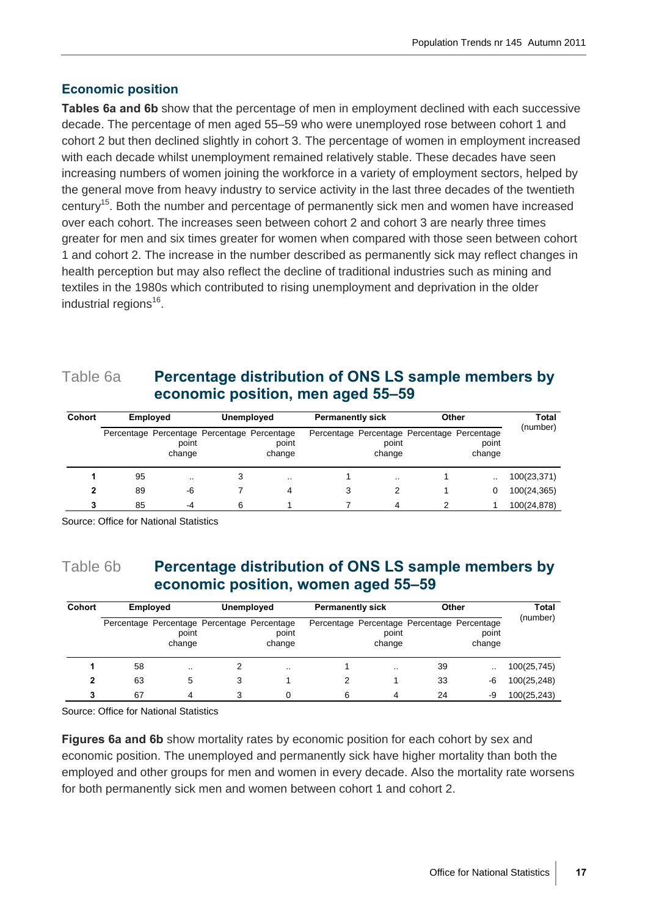### **Economic position**

**Tables 6a and 6b** show that the percentage of men in employment declined with each successive decade. The percentage of men aged 55–59 who were unemployed rose between cohort 1 and cohort 2 but then declined slightly in cohort 3. The percentage of women in employment increased with each decade whilst unemployment remained relatively stable. These decades have seen increasing numbers of women joining the workforce in a variety of employment sectors, helped by the general move from heavy industry to service activity in the last three decades of the twentieth century<sup>15</sup>. Both the number and percentage of permanently sick men and women have increased over each cohort. The increases seen between cohort 2 and cohort 3 are nearly three times greater for men and six times greater for women when compared with those seen between cohort 1 and cohort 2. The increase in the number described as permanently sick may reflect changes in health perception but may also reflect the decline of traditional industries such as mining and textiles in the 1980s which contributed to rising unemployment and deprivation in the older industrial regions $16$ .

### Table 6a **Percentage distribution of ONS LS sample members by economic position, men aged 55–59**

| <b>Cohort</b> | <b>Employed</b> |                 | Unemployed                                  |                 | <b>Permanently sick</b> |  | Other                                                          |             |  |
|---------------|-----------------|-----------------|---------------------------------------------|-----------------|-------------------------|--|----------------------------------------------------------------|-------------|--|
|               |                 | point<br>change | Percentage Percentage Percentage Percentage | point<br>change | point<br>change         |  | Percentage Percentage Percentage Percentage<br>point<br>change | (number)    |  |
|               | 95              | $\cdot$ .       | 3                                           |                 | $\cdot$ .               |  | $\cdot$ .                                                      | 100(23,371) |  |
| 2             | 89              | -6              |                                             | 4               | 2                       |  |                                                                | 100(24,365) |  |
|               | 85              | -4              | 6                                           |                 | 4                       |  |                                                                | 100(24,878) |  |

Source: Office for National Statistics

# Table 6b **Percentage distribution of ONS LS sample members by economic position, women aged 55–59**

| <b>Cohort</b> | <b>Employed</b> |                 | Unemployed                                  |                 | <b>Permanently sick</b> |                                                                | Other |                 | <b>Total</b> |
|---------------|-----------------|-----------------|---------------------------------------------|-----------------|-------------------------|----------------------------------------------------------------|-------|-----------------|--------------|
|               |                 | point<br>change | Percentage Percentage Percentage Percentage | point<br>change |                         | Percentage Percentage Percentage Percentage<br>point<br>change |       | point<br>change | (number)     |
|               | 58              | $\cdot$         | 2                                           |                 |                         | $\cdots$                                                       | 39    |                 | 100(25,745)  |
| 2             | 63              | 5               | 3                                           |                 | 2                       |                                                                | 33    | -6              | 100(25,248)  |
|               | 67              | 4               | 3                                           | 0               | 6                       | 4                                                              | 24    | -9              | 100(25,243)  |

Source: Office for National Statistics

**Figures 6a and 6b** show mortality rates by economic position for each cohort by sex and economic position. The unemployed and permanently sick have higher mortality than both the employed and other groups for men and women in every decade. Also the mortality rate worsens for both permanently sick men and women between cohort 1 and cohort 2.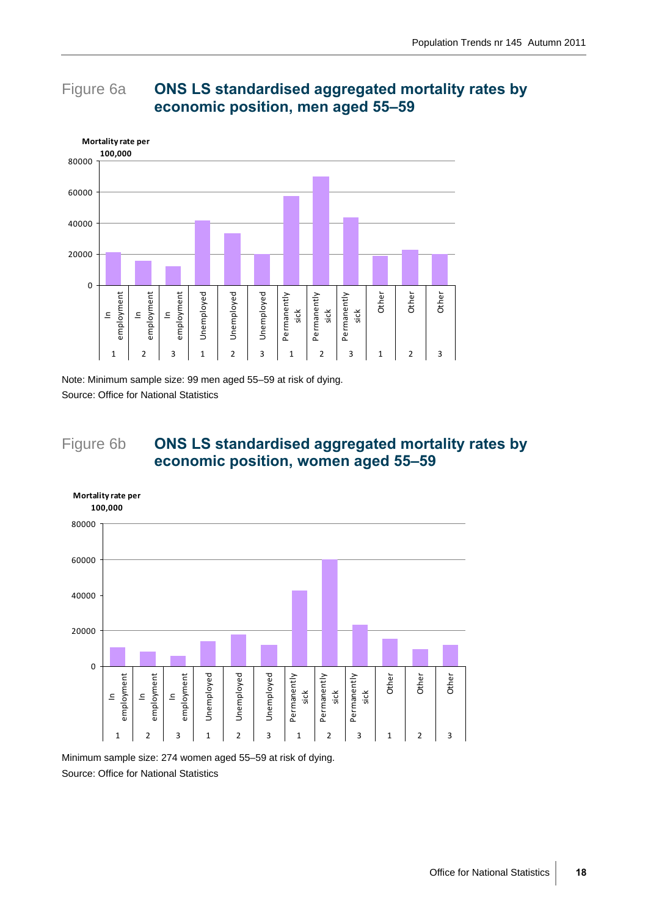

# Figure 6a **ONS LS standardised aggregated mortality rates by economic position, men aged 55–59**

Note: Minimum sample size: 99 men aged 55–59 at risk of dying. Source: Office for National Statistics

# Figure 6b **ONS LS standardised aggregated mortality rates by economic position, women aged 55–59**



Minimum sample size: 274 women aged 55–59 at risk of dying. Source: Office for National Statistics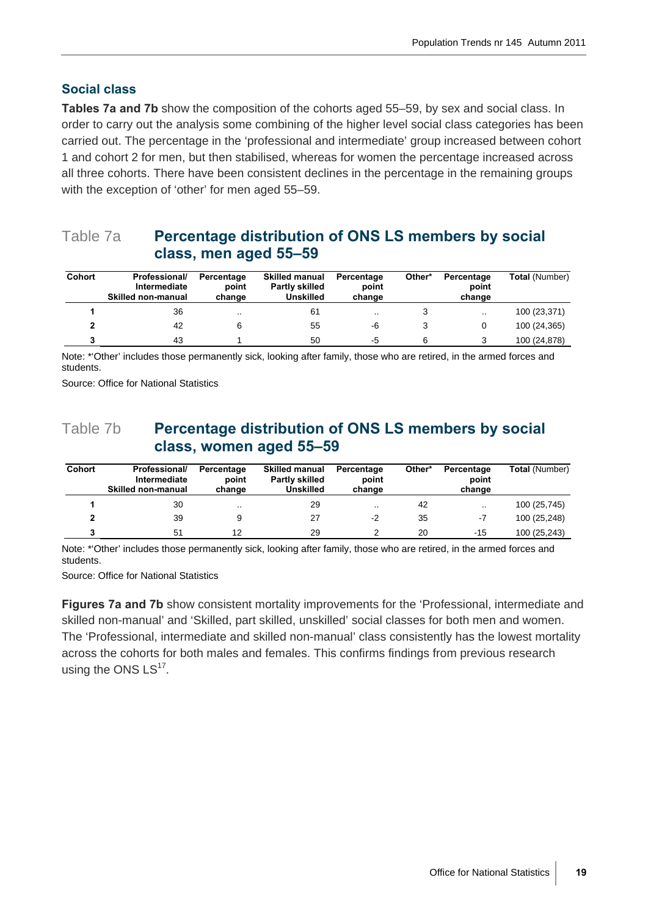### **Social class**

**Tables 7a and 7b** show the composition of the cohorts aged 55–59, by sex and social class. In order to carry out the analysis some combining of the higher level social class categories has been carried out. The percentage in the 'professional and intermediate' group increased between cohort 1 and cohort 2 for men, but then stabilised, whereas for women the percentage increased across all three cohorts. There have been consistent declines in the percentage in the remaining groups with the exception of 'other' for men aged 55–59.

### Table 7a **Percentage distribution of ONS LS members by social class, men aged 55–59**

| <b>Cohort</b> | Professional/<br>Intermediate<br><b>Skilled non-manual</b> | Percentage<br>point<br>change | <b>Skilled manual</b><br>Partly skilled<br><b>Unskilled</b> | Percentage<br>point<br>change | Other* | Percentage<br>point<br>change | <b>Total (Number)</b> |
|---------------|------------------------------------------------------------|-------------------------------|-------------------------------------------------------------|-------------------------------|--------|-------------------------------|-----------------------|
|               | 36                                                         | $\cdot$ .                     | 61                                                          |                               |        |                               | 100 (23,371)          |
|               | 42                                                         |                               | 55                                                          | -6                            |        |                               | 100 (24,365)          |
|               | 43                                                         |                               | 50                                                          | -5                            |        |                               | 100 (24,878)          |

Note: \*'Other' includes those permanently sick, looking after family, those who are retired, in the armed forces and students.

Source: Office for National Statistics

### Table 7b **Percentage distribution of ONS LS members by social class, women aged 55–59**

| <b>Cohort</b> | Professional/<br>Intermediate<br><b>Skilled non-manual</b> | Percentage<br>point<br>change | <b>Skilled manual</b><br>Partly skilled<br><b>Unskilled</b> | Percentage<br>point<br>change | Other* | Percentage<br>point<br>change | <b>Total (Number)</b> |
|---------------|------------------------------------------------------------|-------------------------------|-------------------------------------------------------------|-------------------------------|--------|-------------------------------|-----------------------|
|               | 30                                                         | $\cdot$ .                     | 29                                                          |                               | 42     | $\cdot$ .                     | 100 (25,745)          |
|               | 39                                                         |                               | 27                                                          | $-2$                          | 35     | $-7$                          | 100 (25,248)          |
|               | 51                                                         | 12                            | 29                                                          |                               | 20     | -15                           | 100 (25,243)          |

Note: \*'Other' includes those permanently sick, looking after family, those who are retired, in the armed forces and students.

Source: Office for National Statistics

**Figures 7a and 7b** show consistent mortality improvements for the 'Professional, intermediate and skilled non-manual' and 'Skilled, part skilled, unskilled' social classes for both men and women. The 'Professional, intermediate and skilled non-manual' class consistently has the lowest mortality across the cohorts for both males and females. This confirms findings from previous research using the ONS  $LS^{17}$ .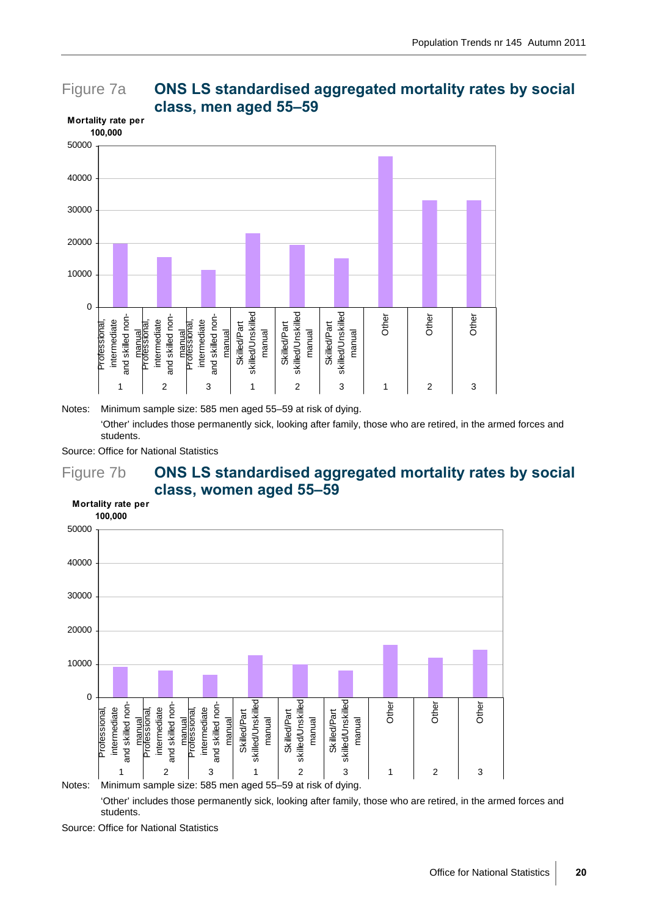

# Figure 7a **ONS LS standardised aggregated mortality rates by social class, men aged 55–59**

Notes: Minimum sample size: 585 men aged 55–59 at risk of dying. 'Other' includes those permanently sick, looking after family, those who are retired, in the armed forces and students.

Source: Office for National Statistics

# Figure 7b **ONS LS standardised aggregated mortality rates by social class, women aged 55–59**



'Other' includes those permanently sick, looking after family, those who are retired, in the armed forces and students.

Source: Office for National Statistics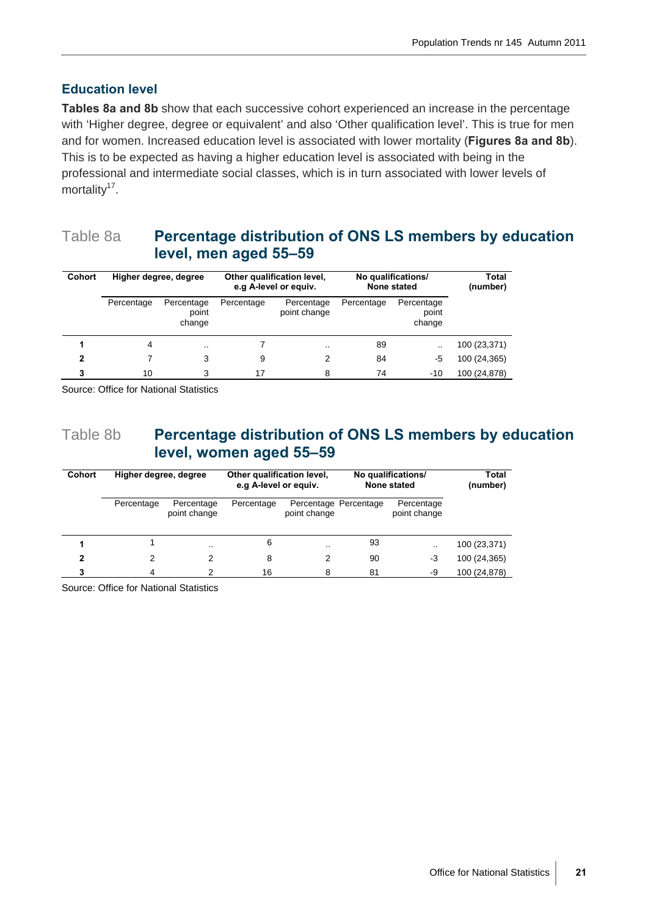### **Education level**

**Tables 8a and 8b** show that each successive cohort experienced an increase in the percentage with 'Higher degree, degree or equivalent' and also 'Other qualification level'. This is true for men and for women. Increased education level is associated with lower mortality (**Figures 8a and 8b**). This is to be expected as having a higher education level is associated with being in the professional and intermediate social classes, which is in turn associated with lower levels of mortality $17$ .

### Table 8a **Percentage distribution of ONS LS members by education level, men aged 55–59**

| Cohort | Higher degree, degree |                               | Other qualification level,<br>e.g A-level or equiv. |                            | No qualifications/<br>None stated | Total<br>(number)             |              |
|--------|-----------------------|-------------------------------|-----------------------------------------------------|----------------------------|-----------------------------------|-------------------------------|--------------|
|        | Percentage            | Percentage<br>point<br>change | Percentage                                          | Percentage<br>point change | Percentage                        | Percentage<br>point<br>change |              |
|        | 4                     | $\cdot$ .                     |                                                     | $\cdot$ .                  | 89                                |                               | 100 (23,371) |
| 2      |                       | 3                             | 9                                                   | 2                          | 84                                | -5                            | 100 (24,365) |
| 3      | 10                    | 3                             | 17                                                  | 8                          | 74                                | $-10$                         | 100 (24,878) |

Source: Office for National Statistics

# Table 8b **Percentage distribution of ONS LS members by education level, women aged 55–59**

| <b>Cohort</b> | Higher degree, degree |                            | Other qualification level,<br>e.g A-level or equiv. |              | No qualifications/<br><b>None stated</b> |                            | Total<br>(number) |
|---------------|-----------------------|----------------------------|-----------------------------------------------------|--------------|------------------------------------------|----------------------------|-------------------|
|               | Percentage            | Percentage<br>point change | Percentage                                          | point change | Percentage Percentage                    | Percentage<br>point change |                   |
|               |                       | . .                        | 6                                                   |              | 93                                       |                            | 100 (23,371)      |
| 2             | 2                     | 2                          | 8                                                   | 2            | 90                                       | -3                         | 100 (24,365)      |
|               | 4                     |                            | 16                                                  | 8            | 81                                       | -9                         | 100 (24,878)      |

Source: Office for National Statistics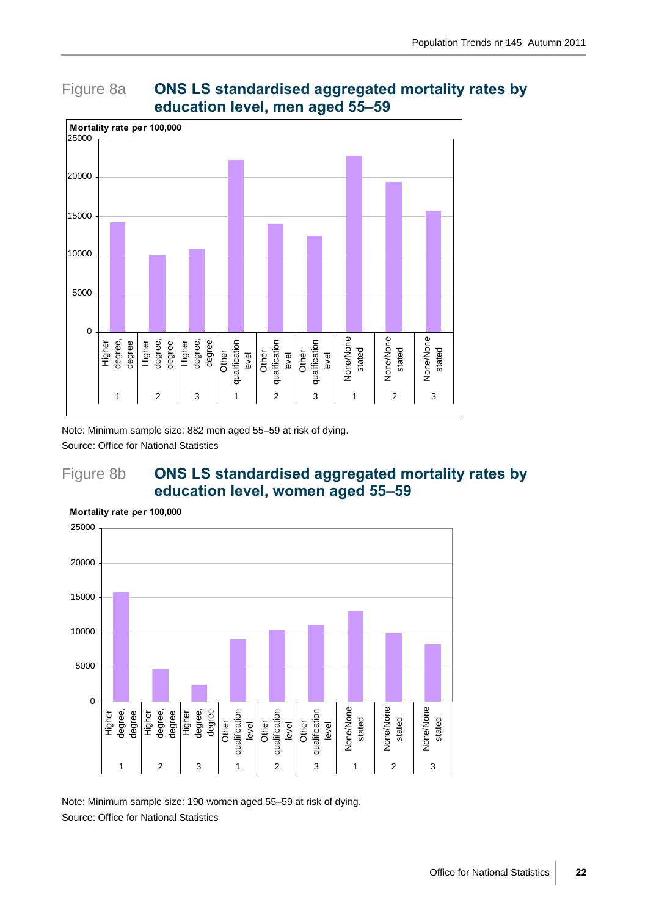



Note: Minimum sample size: 882 men aged 55–59 at risk of dying. Source: Office for National Statistics

# Figure 8b **ONS LS standardised aggregated mortality rates by education level, women aged 55–59**



Note: Minimum sample size: 190 women aged 55–59 at risk of dying. Source: Office for National Statistics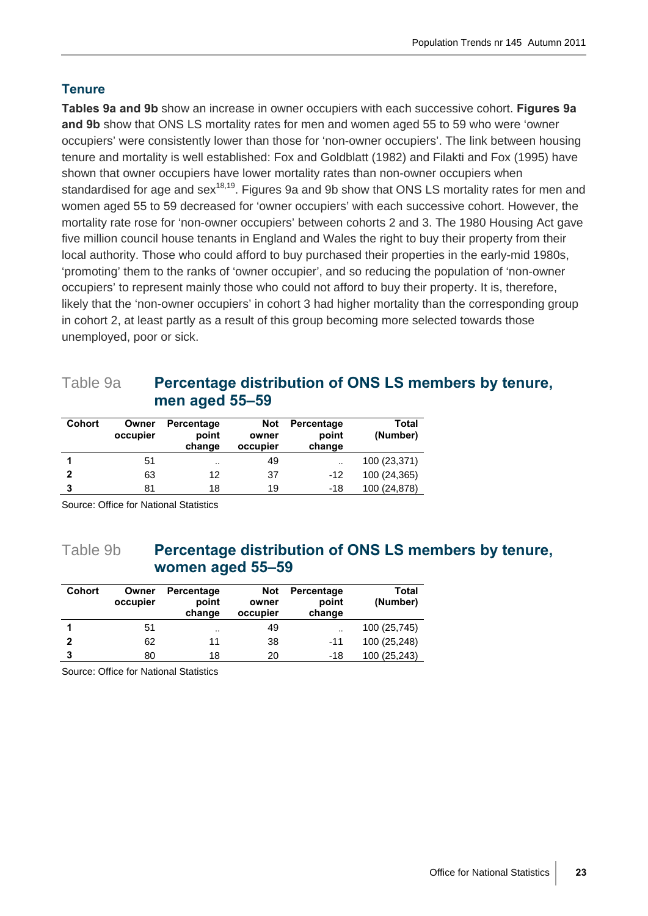### **Tenure**

**Tables 9a and 9b** show an increase in owner occupiers with each successive cohort. **Figures 9a and 9b** show that ONS LS mortality rates for men and women aged 55 to 59 who were 'owner occupiers' were consistently lower than those for 'non-owner occupiers'. The link between housing tenure and mortality is well established: Fox and Goldblatt (1982) and Filakti and Fox (1995) have shown that owner occupiers have lower mortality rates than non-owner occupiers when standardised for age and sex<sup>[18,19](#page-10-1)</sup>. Figures 9a and 9b show that ONS LS mortality rates for men and women aged 55 to 59 decreased for 'owner occupiers' with each successive cohort. However, the mortality rate rose for 'non-owner occupiers' between cohorts 2 and 3. The 1980 Housing Act gave five million council house tenants in England and Wales the right to buy their property from their local authority. Those who could afford to buy purchased their properties in the early-mid 1980s, 'promoting' them to the ranks of 'owner occupier', and so reducing the population of 'non-owner occupiers' to represent mainly those who could not afford to buy their property. It is, therefore, likely that the 'non-owner occupiers' in cohort 3 had higher mortality than the corresponding group in cohort 2, at least partly as a result of this group becoming more selected towards those unemployed, poor or sick.

### Table 9a **Percentage distribution of ONS LS members by tenure, men aged 55–59**

| <b>Cohort</b> | Owner<br>occupier | Percentage<br>point<br>change | <b>Not</b><br>owner<br>occupier | Percentage<br>point<br>change | Total<br>(Number) |
|---------------|-------------------|-------------------------------|---------------------------------|-------------------------------|-------------------|
|               | 51                |                               | 49                              |                               | 100 (23,371)      |
|               | 63                | 12                            | 37                              | $-12$                         | 100 (24,365)      |
| 3             | 81                | 18                            | 19                              | $-18$                         | 100 (24,878)      |

Source: Office for National Statistics

### Table 9b **Percentage distribution of ONS LS members by tenure, women aged 55–59**

| <b>Cohort</b> | Owner<br>occupier | Percentage<br>point<br>change | <b>Not</b><br>owner<br>occupier | Percentage<br>point<br>change | Total<br>(Number) |
|---------------|-------------------|-------------------------------|---------------------------------|-------------------------------|-------------------|
|               | 51                | $\cdot$ .                     | 49                              |                               | 100 (25,745)      |
| 2             | 62                | 11                            | 38                              | $-11$                         | 100 (25,248)      |
| 3             | 80                | 18                            | 20                              | -18                           | 100 (25,243)      |

Source: Office for National Statistics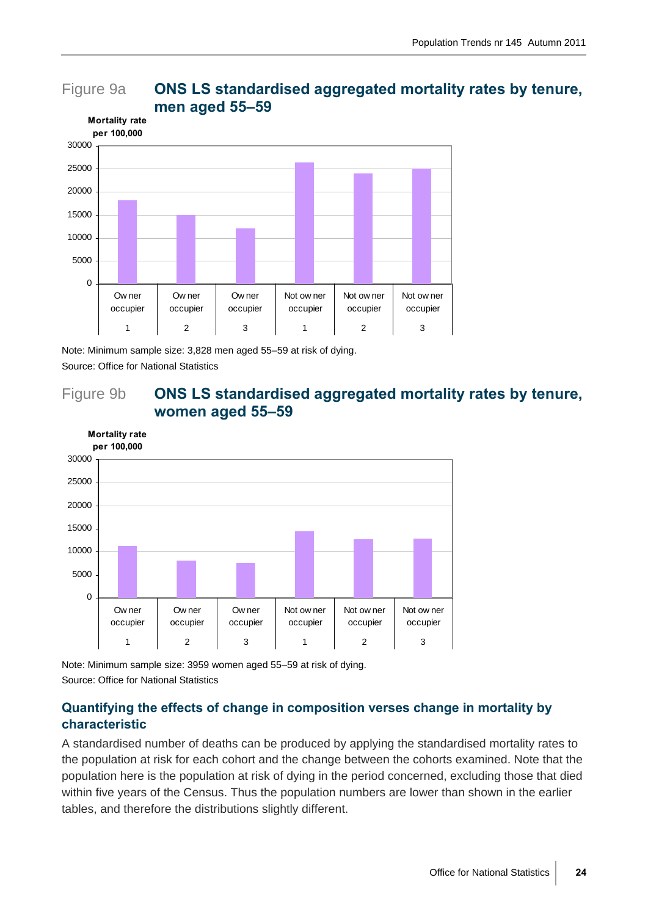

### Figure 9a **ONS LS standardised aggregated mortality rates by tenure, men aged 55–59**

Note: Minimum sample size: 3,828 men aged 55–59 at risk of dying. Source: Office for National Statistics

### Figure 9b **ONS LS standardised aggregated mortality rates by tenure, women aged 55–59**



Note: Minimum sample size: 3959 women aged 55–59 at risk of dying. Source: Office for National Statistics

### **Quantifying the effects of change in composition verses change in mortality by characteristic**

A standardised number of deaths can be produced by applying the standardised mortality rates to the population at risk for each cohort and the change between the cohorts examined. Note that the population here is the population at risk of dying in the period concerned, excluding those that died within five years of the Census. Thus the population numbers are lower than shown in the earlier tables, and therefore the distributions slightly different.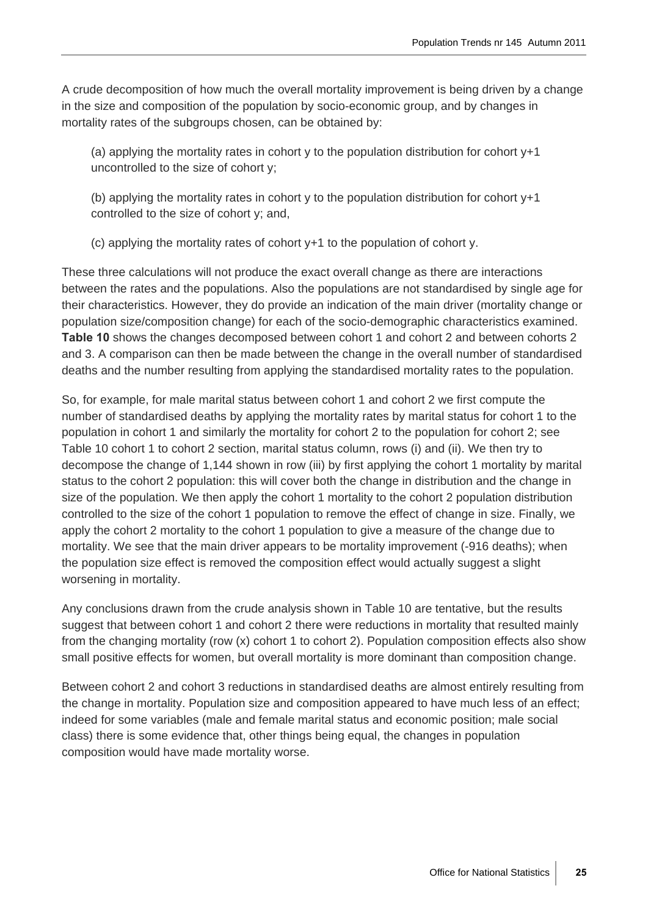A crude decomposition of how much the overall mortality improvement is being driven by a change in the size and composition of the population by socio-economic group, and by changes in mortality rates of the subgroups chosen, can be obtained by:

(a) applying the mortality rates in cohort y to the population distribution for cohort  $y+1$ uncontrolled to the size of cohort y;

(b) applying the mortality rates in cohort y to the population distribution for cohort  $y+1$ controlled to the size of cohort y; and,

(c) applying the mortality rates of cohort y+1 to the population of cohort y.

These three calculations will not produce the exact overall change as there are interactions between the rates and the populations. Also the populations are not standardised by single age for their characteristics. However, they do provide an indication of the main driver (mortality change or population size/composition change) for each of the socio-demographic characteristics examined. **Table 10** shows the changes decomposed between cohort 1 and cohort 2 and between cohorts 2 and 3. A comparison can then be made between the change in the overall number of standardised deaths and the number resulting from applying the standardised mortality rates to the population.

So, for example, for male marital status between cohort 1 and cohort 2 we first compute the number of standardised deaths by applying the mortality rates by marital status for cohort 1 to the population in cohort 1 and similarly the mortality for cohort 2 to the population for cohort 2; see Table 10 cohort 1 to cohort 2 section, marital status column, rows (i) and (ii). We then try to decompose the change of 1,144 shown in row (iii) by first applying the cohort 1 mortality by marital status to the cohort 2 population: this will cover both the change in distribution and the change in size of the population. We then apply the cohort 1 mortality to the cohort 2 population distribution controlled to the size of the cohort 1 population to remove the effect of change in size. Finally, we apply the cohort 2 mortality to the cohort 1 population to give a measure of the change due to mortality. We see that the main driver appears to be mortality improvement (-916 deaths); when the population size effect is removed the composition effect would actually suggest a slight worsening in mortality.

Any conclusions drawn from the crude analysis shown in Table 10 are tentative, but the results suggest that between cohort 1 and cohort 2 there were reductions in mortality that resulted mainly from the changing mortality (row (x) cohort 1 to cohort 2). Population composition effects also show small positive effects for women, but overall mortality is more dominant than composition change.

Between cohort 2 and cohort 3 reductions in standardised deaths are almost entirely resulting from the change in mortality. Population size and composition appeared to have much less of an effect; indeed for some variables (male and female marital status and economic position; male social class) there is some evidence that, other things being equal, the changes in population composition would have made mortality worse.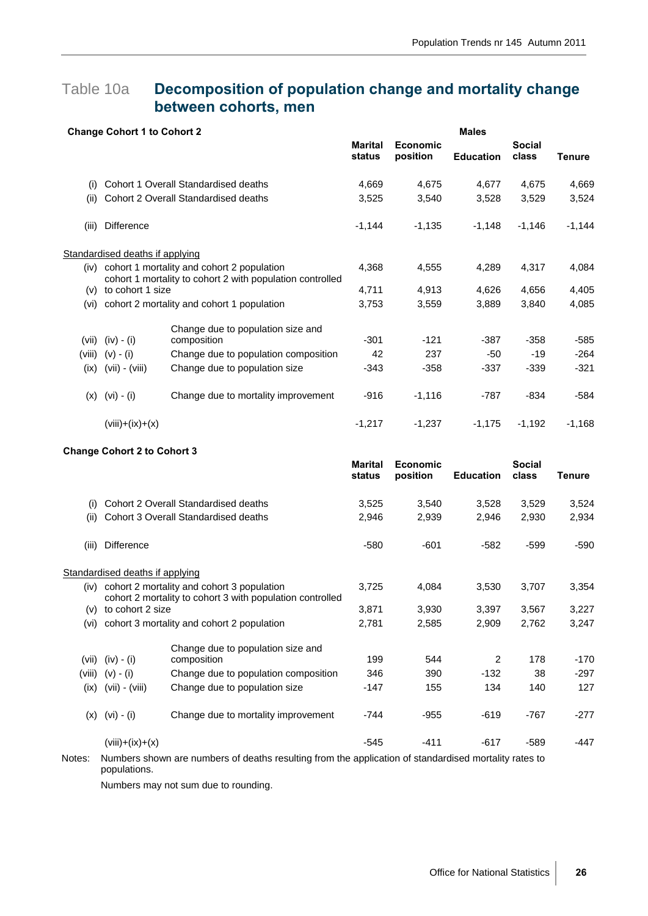# Table 10a **Decomposition of population change and mortality change between cohorts, men**

|        | <b>Change Cohort 1 to Cohort 2</b>                                                                           |                                            | <b>Males</b>             |                      |                  |                 |               |  |  |
|--------|--------------------------------------------------------------------------------------------------------------|--------------------------------------------|--------------------------|----------------------|------------------|-----------------|---------------|--|--|
|        |                                                                                                              |                                            | <b>Marital</b><br>status | Economic<br>position | <b>Education</b> | Social<br>class | <b>Tenure</b> |  |  |
| (i)    |                                                                                                              | Cohort 1 Overall Standardised deaths       | 4,669                    | 4,675                | 4,677            | 4,675           | 4,669         |  |  |
| (ii)   |                                                                                                              | Cohort 2 Overall Standardised deaths       | 3,525                    | 3,540                | 3,528            | 3,529           | 3,524         |  |  |
| (iii)  | <b>Difference</b>                                                                                            |                                            | $-1,144$                 | $-1,135$             | $-1,148$         | $-1,146$        | $-1,144$      |  |  |
|        | Standardised deaths if applying                                                                              |                                            |                          |                      |                  |                 |               |  |  |
|        | (iv) cohort 1 mortality and cohort 2 population<br>cohort 1 mortality to cohort 2 with population controlled |                                            | 4,368                    | 4,555                | 4,289            | 4,317           | 4,084         |  |  |
| (v)    | to cohort 1 size                                                                                             |                                            | 4,711                    | 4,913                | 4,626            | 4,656           | 4,405         |  |  |
| (vi)   |                                                                                                              | cohort 2 mortality and cohort 1 population | 3,753                    | 3,559                | 3,889            | 3,840           | 4,085         |  |  |
|        |                                                                                                              | Change due to population size and          |                          |                      |                  |                 |               |  |  |
| (vii)  | (iv) - (i)                                                                                                   | composition                                | $-301$                   | $-121$               | $-387$           | $-358$          | -585          |  |  |
| (viii) | $(v) - (i)$                                                                                                  | Change due to population composition       | 42                       | 237                  | -50              | -19             | $-264$        |  |  |
| (ix)   | (vii) - (viii)                                                                                               | Change due to population size              | $-343$                   | $-358$               | $-337$           | $-339$          | $-321$        |  |  |
|        | $(x)$ $(vi) - (i)$                                                                                           | Change due to mortality improvement        | $-916$                   | $-1,116$             | $-787$           | $-834$          | $-584$        |  |  |
|        | $(viii)+(ix)+(x)$                                                                                            |                                            | $-1,217$                 | $-1,237$             | $-1,175$         | $-1,192$        | $-1,168$      |  |  |

### **Change Cohort 2 to Cohort 3**

|        |                                                                                                         |                                                                                                                         | <b>Marital</b><br>status | <b>Economic</b><br>position | <b>Education</b> | <b>Social</b><br>class | <b>Tenure</b> |
|--------|---------------------------------------------------------------------------------------------------------|-------------------------------------------------------------------------------------------------------------------------|--------------------------|-----------------------------|------------------|------------------------|---------------|
| (i)    |                                                                                                         | Cohort 2 Overall Standardised deaths                                                                                    | 3,525                    | 3,540                       | 3,528            | 3,529                  | 3,524         |
| (ii)   |                                                                                                         | Cohort 3 Overall Standardised deaths                                                                                    | 2,946                    | 2,939                       | 2,946            | 2,930                  | 2,934         |
| (iii)  | <b>Difference</b>                                                                                       |                                                                                                                         | $-580$                   | $-601$                      | -582             | $-599$                 | -590          |
|        | Standardised deaths if applying                                                                         |                                                                                                                         |                          |                             |                  |                        |               |
| (iv)   | cohort 2 mortality and cohort 3 population<br>cohort 2 mortality to cohort 3 with population controlled |                                                                                                                         | 3,725                    | 4,084                       | 3,530            | 3,707                  | 3,354         |
| (v)    | to cohort 2 size                                                                                        |                                                                                                                         | 3,871                    | 3,930                       | 3,397            | 3,567                  | 3,227         |
| (vi)   | cohort 3 mortality and cohort 2 population                                                              |                                                                                                                         | 2,781                    | 2,585                       | 2,909            | 2,762                  | 3,247         |
|        |                                                                                                         | Change due to population size and                                                                                       |                          |                             |                  |                        |               |
| (vii)  | (iv) - (i)                                                                                              | composition                                                                                                             | 199                      | 544                         | 2                | 178                    | -170          |
| (viii) | $(v) - (i)$                                                                                             | Change due to population composition                                                                                    | 346                      | 390                         | $-132$           | 38                     | $-297$        |
| (ix)   | (vii) - (viii)                                                                                          | Change due to population size                                                                                           | $-147$                   | 155                         | 134              | 140                    | 127           |
| (x)    | (vi) - (i)                                                                                              | Change due to mortality improvement                                                                                     | $-744$                   | $-955$                      | $-619$           | $-767$                 | $-277$        |
|        | $(viii)+(ix)+(x)$                                                                                       |                                                                                                                         | $-545$                   | $-411$                      | -617             | -589                   | -447          |
|        |                                                                                                         | that was according to the substitute of the substitute of the substitute of the substitute of according the contract of |                          |                             |                  |                        |               |

Notes: Numbers shown are numbers of deaths resulting from the application of standardised mortality rates to populations.

Numbers may not sum due to rounding.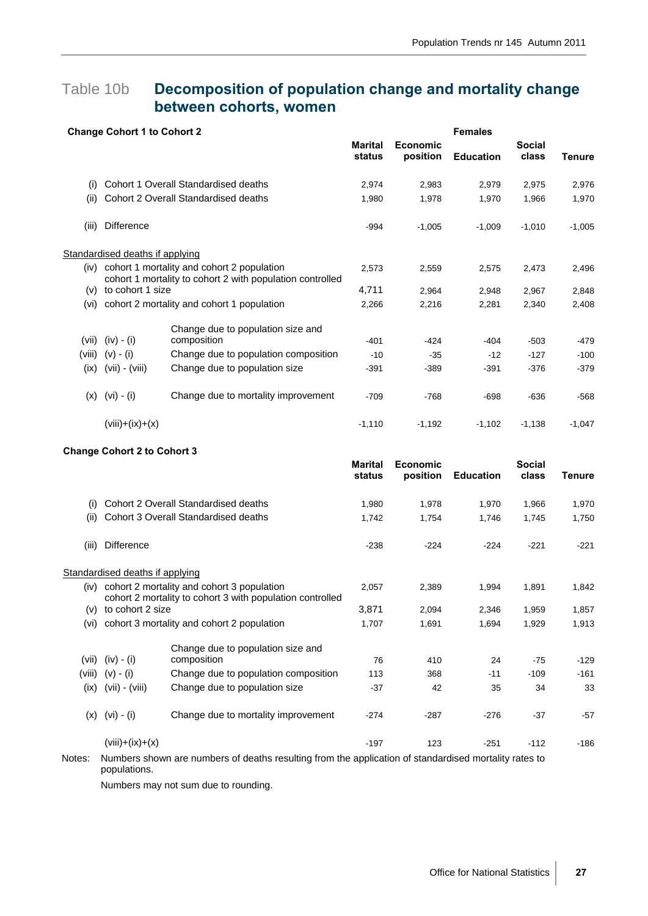# Table 10b **Decomposition of population change and mortality change between cohorts, women**

|        | <b>Change Cohort 1 to Cohort 2</b>                                                                           |                                            | <b>Females</b>           |                             |                  |                        |          |  |  |
|--------|--------------------------------------------------------------------------------------------------------------|--------------------------------------------|--------------------------|-----------------------------|------------------|------------------------|----------|--|--|
|        |                                                                                                              |                                            | <b>Marital</b><br>status | <b>Economic</b><br>position | <b>Education</b> | <b>Social</b><br>class | Tenure   |  |  |
| (i)    |                                                                                                              | Cohort 1 Overall Standardised deaths       | 2,974                    | 2,983                       | 2,979            | 2,975                  | 2,976    |  |  |
| (ii)   |                                                                                                              | Cohort 2 Overall Standardised deaths       | 1,980                    | 1,978                       | 1,970            | 1,966                  | 1,970    |  |  |
| (iii)  | Difference                                                                                                   |                                            | $-994$                   | $-1,005$                    | $-1,009$         | $-1,010$               | $-1,005$ |  |  |
|        | Standardised deaths if applying                                                                              |                                            |                          |                             |                  |                        |          |  |  |
|        | (iv) cohort 1 mortality and cohort 2 population<br>cohort 1 mortality to cohort 2 with population controlled |                                            | 2,573                    | 2,559                       | 2,575            | 2,473                  | 2,496    |  |  |
| (v)    | to cohort 1 size                                                                                             |                                            | 4,711                    | 2,964                       | 2,948            | 2,967                  | 2,848    |  |  |
| (vi)   |                                                                                                              | cohort 2 mortality and cohort 1 population | 2,266                    | 2,216                       | 2,281            | 2,340                  | 2,408    |  |  |
|        |                                                                                                              | Change due to population size and          |                          |                             |                  |                        |          |  |  |
| (vii)  | (iv) - (i)                                                                                                   | composition                                | $-401$                   | $-424$                      | $-404$           | $-503$                 | -479     |  |  |
| (viii) | $(v) - (i)$                                                                                                  | Change due to population composition       | $-10$                    | $-35$                       | $-12$            | $-127$                 | $-100$   |  |  |
| (ix)   | (vii) - (viii)                                                                                               | Change due to population size              | $-391$                   | $-389$                      | $-391$           | $-376$                 | $-379$   |  |  |
| (x)    | (vi) - (i)                                                                                                   | Change due to mortality improvement        | $-709$                   | $-768$                      | $-698$           | $-636$                 | $-568$   |  |  |
|        | $(viii)+(ix)+(x)$                                                                                            |                                            | $-1,110$                 | $-1,192$                    | $-1,102$         | $-1,138$               | $-1,047$ |  |  |

### **Change Cohort 2 to Cohort 3**

|                                                    |                                      | <b>Marital</b><br>status                                                                                                                                                     | <b>Economic</b><br>position | <b>Education</b> | <b>Social</b><br>class | <b>Tenure</b> |
|----------------------------------------------------|--------------------------------------|------------------------------------------------------------------------------------------------------------------------------------------------------------------------------|-----------------------------|------------------|------------------------|---------------|
| (i)                                                |                                      | 1,980                                                                                                                                                                        | 1,978                       | 1,970            | 1,966                  | 1,970         |
|                                                    |                                      | 1,742                                                                                                                                                                        | 1.754                       | 1.746            | 1.745                  | 1,750         |
| <b>Difference</b>                                  |                                      | $-238$                                                                                                                                                                       | $-224$                      | $-224$           | $-221$                 | $-221$        |
|                                                    |                                      |                                                                                                                                                                              |                             |                  |                        |               |
| cohort 2 mortality and cohort 3 population         |                                      | 2,057                                                                                                                                                                        | 2,389                       | 1,994            | 1,891                  | 1,842         |
| to cohort 2 size                                   |                                      | 3,871                                                                                                                                                                        | 2,094                       | 2,346            | 1,959                  | 1,857         |
| cohort 3 mortality and cohort 2 population<br>(vi) |                                      | 1,707                                                                                                                                                                        | 1,691                       | 1,694            | 1,929                  | 1,913         |
|                                                    | Change due to population size and    |                                                                                                                                                                              |                             |                  |                        |               |
| $(iv) - (i)$<br>(vii)                              | composition                          | 76                                                                                                                                                                           | 410                         | 24               | $-75$                  | $-129$        |
| $(v) - (i)$<br>(viii)                              | Change due to population composition | 113                                                                                                                                                                          | 368                         | $-11$            | $-109$                 | $-161$        |
| $(vii) - (viii)$<br>(ix)                           | Change due to population size        | $-37$                                                                                                                                                                        | 42                          | 35               | 34                     | 33            |
| (vi) - (i)<br>(x)                                  | Change due to mortality improvement  | $-274$                                                                                                                                                                       | $-287$                      | $-276$           | $-37$                  | $-57$         |
| $(viii)+(ix)+(x)$                                  |                                      | $-197$                                                                                                                                                                       | 123                         | $-251$           | $-112$                 | $-186$        |
|                                                    | (iii)<br>(iv)<br>(v)                 | Cohort 2 Overall Standardised deaths<br>Cohort 3 Overall Standardised deaths<br>Standardised deaths if applying<br>cohort 2 mortality to cohort 3 with population controlled |                             |                  |                        |               |

Notes: Numbers shown are numbers of deaths resulting from the application of standardised mortality rates to populations.

Numbers may not sum due to rounding.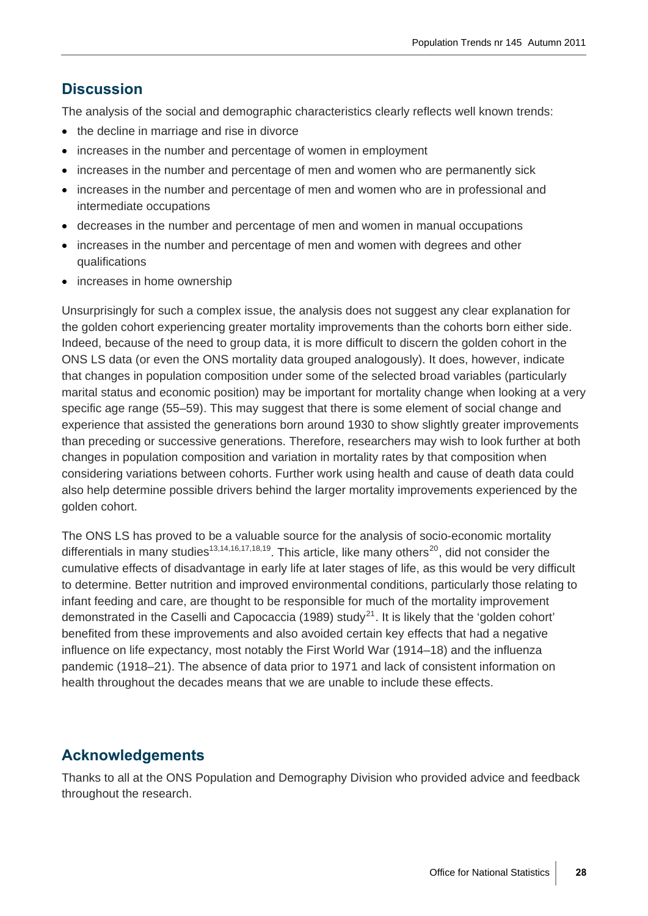### **Discussion**

The analysis of the social and demographic characteristics clearly reflects well known trends:

- the decline in marriage and rise in divorce
- increases in the number and percentage of women in employment
- increases in the number and percentage of men and women who are permanently sick
- increases in the number and percentage of men and women who are in professional and intermediate occupations
- decreases in the number and percentage of men and women in manual occupations
- increases in the number and percentage of men and women with degrees and other qualifications
- increases in home ownership

Unsurprisingly for such a complex issue, the analysis does not suggest any clear explanation for the golden cohort experiencing greater mortality improvements than the cohorts born either side. Indeed, because of the need to group data, it is more difficult to discern the golden cohort in the ONS LS data (or even the ONS mortality data grouped analogously). It does, however, indicate that changes in population composition under some of the selected broad variables (particularly marital status and economic position) may be important for mortality change when looking at a very specific age range (55–59). This may suggest that there is some element of social change and experience that assisted the generations born around 1930 to show slightly greater improvements than preceding or successive generations. Therefore, researchers may wish to look further at both changes in population composition and variation in mortality rates by that composition when considering variations between cohorts. Further work using health and cause of death data could also help determine possible drivers behind the larger mortality improvements experienced by the golden cohort.

The ONS LS has proved to be a valuable source for the analysis of socio-economic mortality differentials in many studies<sup>13,14,16,17,18,19</sup>. This article, like many others<sup>[20](#page-3-1)</sup>, did not consider the cumulative effects of disadvantage in early life at later stages of life, as this would be very difficult to determine. Better nutrition and improved environmental conditions, particularly those relating to infant feeding and care, are thought to be responsible for much of the mortality improvement demonstrated in the Caselli and Capocaccia (1989) study<sup>[21](#page-4-0)</sup>. It is likely that the 'golden cohort' benefited from these improvements and also avoided certain key effects that had a negative influence on life expectancy, most notably the First World War (1914–18) and the influenza pandemic (1918–21). The absence of data prior to 1971 and lack of consistent information on health throughout the decades means that we are unable to include these effects.

### **Acknowledgements**

Thanks to all at the ONS Population and Demography Division who provided advice and feedback throughout the research.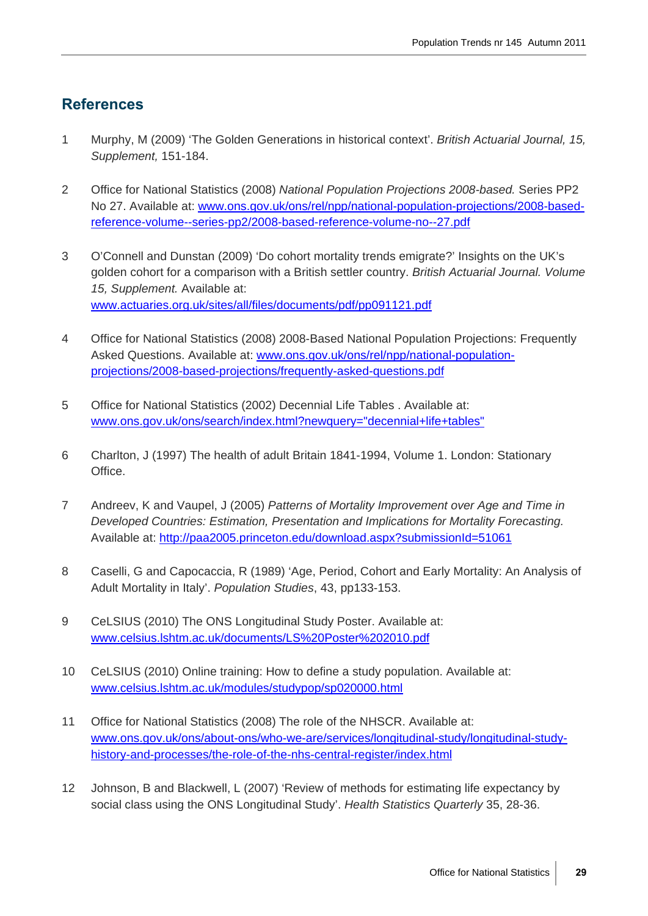### **References**

- 1 Murphy, M (2009) 'The Golden Generations in historical context'. *British Actuarial Journal, 15, Supplement,* 151-184.
- 2 Office for National Statistics (2008) *National Population Projections 2008-based.* Series PP2 No 27. Available at: [www.ons.gov.uk/ons/rel/npp/national-population-projections/2008-based](http://www.ons.gov.uk/ons/rel/npp/national-population-projections/2008-based-reference-volume--series-pp2/2008-based-reference-volume-no--27.pdf)[reference-volume--series-pp2/2008-based-reference-volume-no--27.pdf](http://www.ons.gov.uk/ons/rel/npp/national-population-projections/2008-based-reference-volume--series-pp2/2008-based-reference-volume-no--27.pdf)
- 3 O'Connell and Dunstan (2009) 'Do cohort mortality trends emigrate?' Insights on the UK's golden cohort for a comparison with a British settler country. *British Actuarial Journal. Volume 15, Supplement.* Available at: [www.actuaries.org.uk/sites/all/files/documents/pdf/pp091121.pdf](http://www.actuaries.org.uk/sites/all/files/documents/pdf/pp091121.pdf)
- 4 Office for National Statistics (2008) 2008-Based National Population Projections: Frequently Asked Questions. Available at: [www.ons.gov.uk/ons/rel/npp/national-population](http://www.ons.gov.uk/ons/rel/npp/national-population-projections/2008-based-projections/frequently-asked-questions.pdf)[projections/2008-based-projections/frequently-asked-questions.pdf](http://www.ons.gov.uk/ons/rel/npp/national-population-projections/2008-based-projections/frequently-asked-questions.pdf)
- 5 Office for National Statistics (2002) Decennial Life Tables . Available at: [www.ons.gov.uk/ons/search/index.html?newquery="decennial+life+tables"](http://www.ons.gov.uk/ons/search/index.html?newquery=%22decennial+life+tables%22)
- 6 Charlton, J (1997) The health of adult Britain 1841-1994, Volume 1. London: Stationary Office.
- 7 Andreev, K and Vaupel, J (2005) *Patterns of Mortality Improvement over Age and Time in Developed Countries: Estimation, Presentation and Implications for Mortality Forecasting.*  Available at: <http://paa2005.princeton.edu/download.aspx?submissionId=51061>
- 8 Caselli, G and Capocaccia, R (1989) 'Age, Period, Cohort and Early Mortality: An Analysis of Adult Mortality in Italy'. *Population Studies*, 43, pp133-153.
- 9 CeLSIUS (2010) The ONS Longitudinal Study Poster. Available at: [www.celsius.lshtm.ac.uk/documents/LS%20Poster%202010.pdf](http://www.celsius.lshtm.ac.uk/documents/LS%20Poster%202010.pdf)
- 10 CeLSIUS (2010) Online training: How to define a study population. Available at: [www.celsius.lshtm.ac.uk/modules/studypop/sp020000.html](http://www.celsius.lshtm.ac.uk/modules/studypop/sp020000.html)
- 11 Office for National Statistics (2008) The role of the NHSCR. Available at: [www.ons.gov.uk/ons/about-ons/who-we-are/services/longitudinal-study/longitudinal-study](http://www.ons.gov.uk/ons/about-ons/who-we-are/services/longitudinal-study/longitudinal-study-history-and-processes/the-role-of-the-nhs-central-register/index.html)[history-and-processes/the-role-of-the-nhs-central-register/index.html](http://www.ons.gov.uk/ons/about-ons/who-we-are/services/longitudinal-study/longitudinal-study-history-and-processes/the-role-of-the-nhs-central-register/index.html)
- 12 Johnson, B and Blackwell, L (2007) 'Review of methods for estimating life expectancy by social class using the ONS Longitudinal Study'. *Health Statistics Quarterly* 35, 28-36.